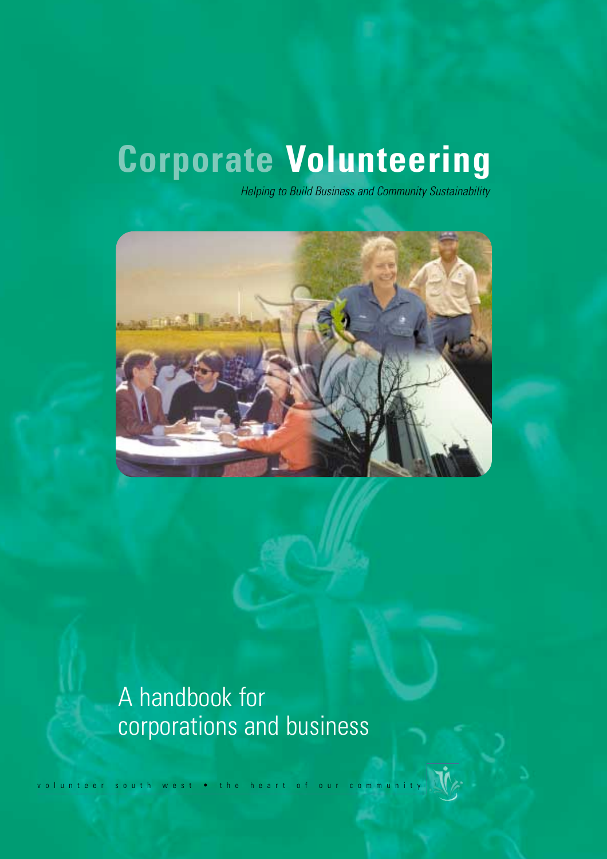# **Corporate Volunteering**

*Helping to Build Business and Community Sustainability* 



## A handbook for corporations and business

volunteer south west • the heart of our community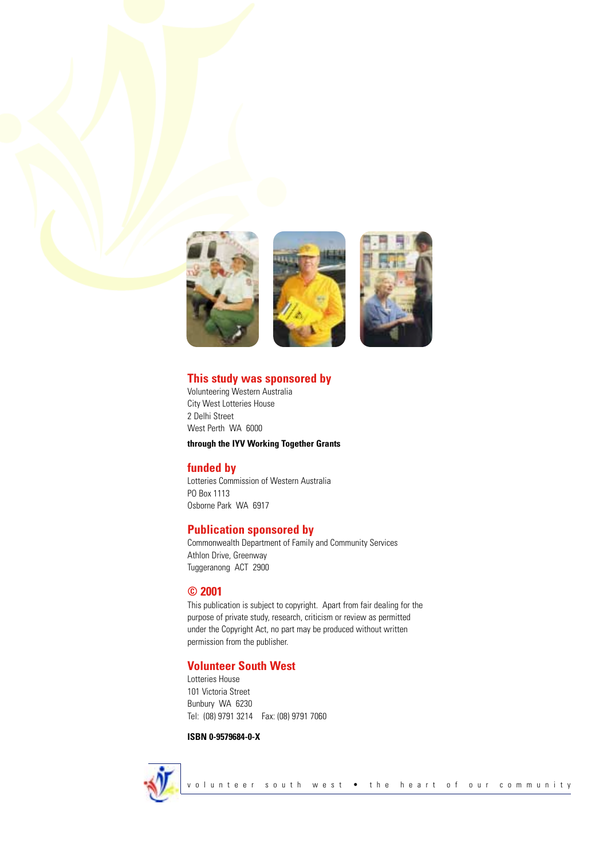





### **This study was sponsored by**

Volunteering Western Australia City West Lotteries House 2 Delhi Street West Perth WA 6000

**through the IYV Working Together Grants** 

## **funded by**

Lotteries Commission of Western Australia PO Box 1113 Osborne Park WA 6917

## **Publication sponsored by**

Commonwealth Department of Family and Community Services Athlon Drive, Greenway Tuggeranong ACT 2900

## **© 2001**

This publication is subject to copyright. Apart from fair dealing for the purpose of private study, research, criticism or review as permitted under the Copyright Act, no part may be produced without written permission from the publisher.

## **Volunteer South West**

Lotteries House 101 Victoria Street Bunbury WA 6230 Tel: (08) 9791 3214 Fax: (08) 9791 7060

### **ISBN 0-9579684-0-X**

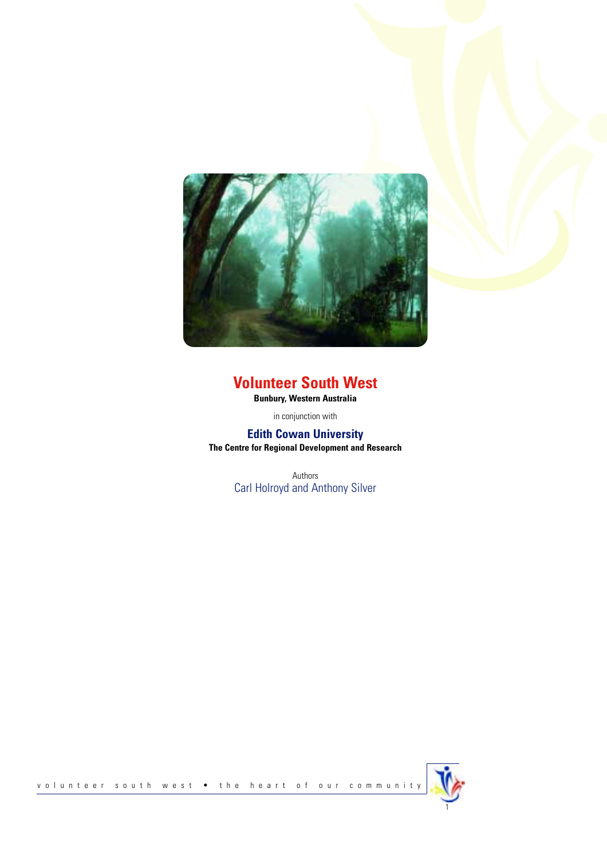

## **Volunteer South West**

**Bunbury, Western Australia**

in conjunction with

## **Edith Cowan University**

**The Centre for Regional Development and Research**

Authors Carl Holroyd and Anthony Silver

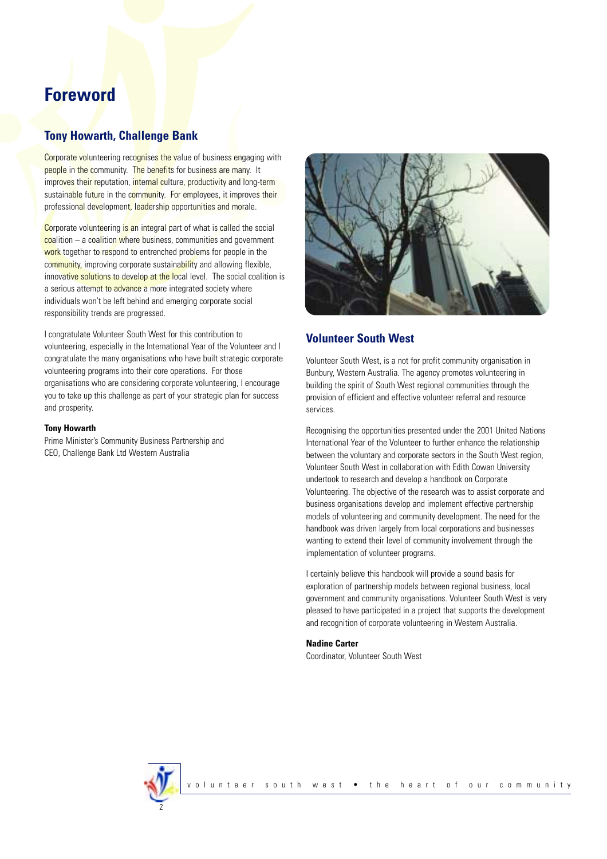## **Foreword**

## **Tony Howarth, Challenge Bank**

Corporate volunteering recognises the value of business engaging with people in the community. The benefits for business are many. It improves their reputation, internal culture, productivity and long-term sustainable future in the community. For employees, it improves their professional development, leadership opportunities and morale.

Corporate volunteering is an integral part of what is called the social coalition – a coalition where business, communities and government work together to respond to entrenched problems for people in the community, improving corporate sustainability and allowing flexible, innovative solutions to develop at the local level. The social coalition is a serious attempt to advance a more integrated society where individuals won't be left behind and emerging corporate social responsibility trends are progressed.

I congratulate Volunteer South West for this contribution to volunteering, especially in the International Year of the Volunteer and I congratulate the many organisations who have built strategic corporate volunteering programs into their core operations. For those organisations who are considering corporate volunteering, I encourage you to take up this challenge as part of your strategic plan for success and prosperity.

#### **Tony Howarth**

Prime Minister's Community Business Partnership and CEO, Challenge Bank Ltd Western Australia



### **Volunteer South West**

Volunteer South West, is a not for profit community organisation in Bunbury, Western Australia. The agency promotes volunteering in building the spirit of South West regional communities through the provision of efficient and effective volunteer referral and resource services.

Recognising the opportunities presented under the 2001 United Nations International Year of the Volunteer to further enhance the relationship between the voluntary and corporate sectors in the South West region, Volunteer South West in collaboration with Edith Cowan University undertook to research and develop a handbook on Corporate Volunteering. The objective of the research was to assist corporate and business organisations develop and implement effective partnership models of volunteering and community development. The need for the handbook was driven largely from local corporations and businesses wanting to extend their level of community involvement through the implementation of volunteer programs.

I certainly believe this handbook will provide a sound basis for exploration of partnership models between regional business, local government and community organisations. Volunteer South West is very pleased to have participated in a project that supports the development and recognition of corporate volunteering in Western Australia.

#### **Nadine Carter**

Coordinator, Volunteer South West

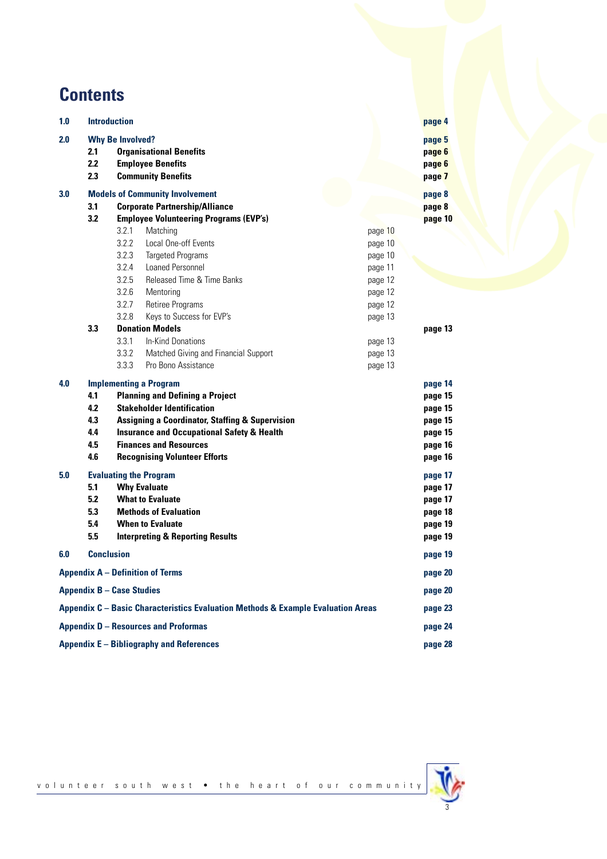## **Contents**

| 1.0                                                                              | <b>Introduction</b>                          |                         |                                                                                                                                                                                                                                                                                                              |         |         | page 4                                                                    |
|----------------------------------------------------------------------------------|----------------------------------------------|-------------------------|--------------------------------------------------------------------------------------------------------------------------------------------------------------------------------------------------------------------------------------------------------------------------------------------------------------|---------|---------|---------------------------------------------------------------------------|
| 2.0                                                                              | 2.1<br>2.2<br>2.3                            | <b>Why Be Involved?</b> | <b>Organisational Benefits</b><br><b>Employee Benefits</b><br><b>Community Benefits</b>                                                                                                                                                                                                                      |         |         | page 5<br>page 6<br>page 6<br>page 7                                      |
| 3.0                                                                              | <b>Models of Community Involvement</b>       |                         |                                                                                                                                                                                                                                                                                                              |         |         | page 8                                                                    |
|                                                                                  | <b>Corporate Partnership/Alliance</b><br>3.1 |                         |                                                                                                                                                                                                                                                                                                              |         | page 8  |                                                                           |
|                                                                                  | 3.2                                          |                         | <b>Employee Volunteering Programs (EVP's)</b>                                                                                                                                                                                                                                                                |         |         | page 10                                                                   |
|                                                                                  |                                              | 3.2.1                   | Matching                                                                                                                                                                                                                                                                                                     |         | page 10 |                                                                           |
|                                                                                  |                                              | 3.2.2                   | Local One-off Events                                                                                                                                                                                                                                                                                         |         | page 10 |                                                                           |
|                                                                                  |                                              | 3.2.3                   | <b>Targeted Programs</b>                                                                                                                                                                                                                                                                                     |         | page 10 |                                                                           |
|                                                                                  |                                              | 3.2.4                   | Loaned Personnel                                                                                                                                                                                                                                                                                             |         | page 11 |                                                                           |
|                                                                                  |                                              | 3.2.5                   | Released Time & Time Banks                                                                                                                                                                                                                                                                                   |         | page 12 |                                                                           |
|                                                                                  |                                              | 3.2.6                   | Mentoring                                                                                                                                                                                                                                                                                                    |         | page 12 |                                                                           |
|                                                                                  |                                              | 3.2.7                   | Retiree Programs                                                                                                                                                                                                                                                                                             |         | page 12 |                                                                           |
|                                                                                  |                                              | 3.2.8                   | Keys to Success for EVP's                                                                                                                                                                                                                                                                                    |         | page 13 |                                                                           |
|                                                                                  | 3.3                                          |                         | <b>Donation Models</b>                                                                                                                                                                                                                                                                                       |         |         | page 13                                                                   |
|                                                                                  |                                              | 3.3.1                   | <b>In-Kind Donations</b>                                                                                                                                                                                                                                                                                     |         | page 13 |                                                                           |
|                                                                                  |                                              | 3.3.2                   | Matched Giving and Financial Support                                                                                                                                                                                                                                                                         |         | page 13 |                                                                           |
|                                                                                  |                                              | 3.3.3                   | Pro Bono Assistance                                                                                                                                                                                                                                                                                          |         | page 13 |                                                                           |
| 4.0                                                                              | 4.1<br>4.2<br>4.3<br>4.4<br>4.5<br>4.6       |                         | <b>Implementing a Program</b><br><b>Planning and Defining a Project</b><br><b>Stakeholder Identification</b><br><b>Assigning a Coordinator, Staffing &amp; Supervision</b><br><b>Insurance and Occupational Safety &amp; Health</b><br><b>Finances and Resources</b><br><b>Recognising Volunteer Efforts</b> |         |         | page 14<br>page 15<br>page 15<br>page 15<br>page 15<br>page 16<br>page 16 |
| 5.0                                                                              | 5.1<br>5.2<br>53<br>5.4<br>5.5               |                         | <b>Evaluating the Program</b><br><b>Why Evaluate</b><br><b>What to Evaluate</b><br><b>Methods of Evaluation</b><br><b>When to Evaluate</b><br><b>Interpreting &amp; Reporting Results</b>                                                                                                                    |         |         | page 17<br>page 17<br>page 17<br>page 18<br>page 19<br>page 19            |
| 6.0                                                                              | <b>Conclusion</b>                            |                         |                                                                                                                                                                                                                                                                                                              |         |         | page 19                                                                   |
|                                                                                  |                                              |                         | <b>Appendix A - Definition of Terms</b>                                                                                                                                                                                                                                                                      |         |         | page 20                                                                   |
| <b>Appendix B - Case Studies</b>                                                 |                                              |                         |                                                                                                                                                                                                                                                                                                              | page 20 |         |                                                                           |
| Appendix C - Basic Characteristics Evaluation Methods & Example Evaluation Areas |                                              |                         |                                                                                                                                                                                                                                                                                                              | page 23 |         |                                                                           |
| <b>Appendix D - Resources and Proformas</b>                                      |                                              |                         |                                                                                                                                                                                                                                                                                                              | page 24 |         |                                                                           |
| Appendix E - Bibliography and References                                         |                                              |                         |                                                                                                                                                                                                                                                                                                              | page 28 |         |                                                                           |



volunteer south west • the heart of our community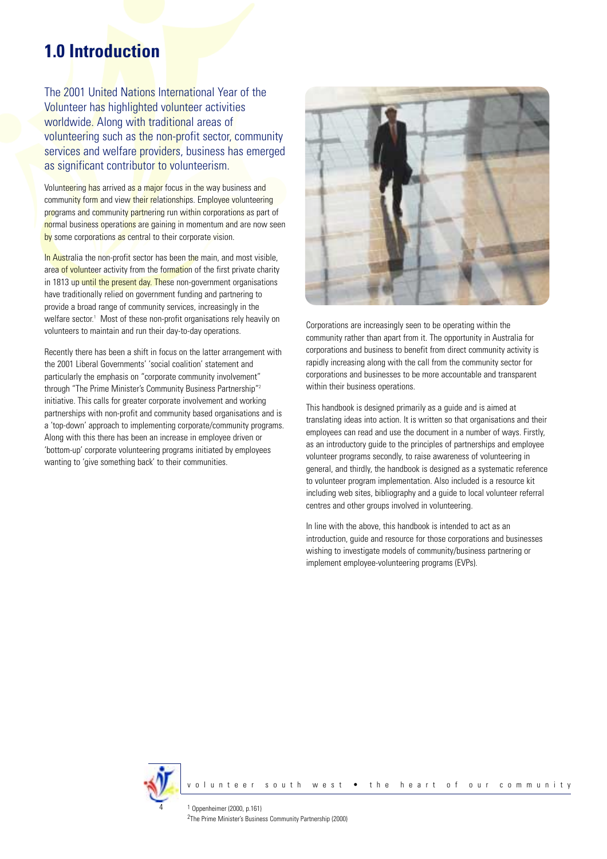## **1.0 Introduction**

The 2001 United Nations International Year of the Volunteer has highlighted volunteer activities worldwide. Along with traditional areas of volunteering such as the non-profit sector, community services and welfare providers, business has emerged as significant contributor to volunteerism.

Volunteering has arrived as a major focus in the way business and community form and view their relationships. Employee volunteering programs and community partnering run within corporations as part of normal business operations are gaining in momentum and are now seen by some corporations as central to their corporate vision.

In Australia the non-profit sector has been the main, and most visible, area of volunteer activity from the formation of the first private charity in 1813 up until the present day. These non-government organisations have traditionally relied on government funding and partnering to provide a broad range of community services, increasingly in the welfare sector.<sup>1</sup> Most of these non-profit organisations rely heavily on volunteers to maintain and run their day-to-day operations.

Recently there has been a shift in focus on the latter arrangement with the 2001 Liberal Governments' 'social coalition' statement and particularly the emphasis on "corporate community involvement" through "The Prime Minister's Community Business Partnership"<sup>2</sup> initiative. This calls for greater corporate involvement and working partnerships with non-profit and community based organisations and is a 'top-down' approach to implementing corporate/community programs. Along with this there has been an increase in employee driven or 'bottom-up' corporate volunteering programs initiated by employees wanting to 'give something back' to their communities.



Corporations are increasingly seen to be operating within the community rather than apart from it. The opportunity in Australia for corporations and business to benefit from direct community activity is rapidly increasing along with the call from the community sector for corporations and businesses to be more accountable and transparent within their business operations.

This handbook is designed primarily as a guide and is aimed at translating ideas into action. It is written so that organisations and their employees can read and use the document in a number of ways. Firstly, as an introductory guide to the principles of partnerships and employee volunteer programs secondly, to raise awareness of volunteering in general, and thirdly, the handbook is designed as a systematic reference to volunteer program implementation. Also included is a resource kit including web sites, bibliography and a guide to local volunteer referral centres and other groups involved in volunteering.

In line with the above, this handbook is intended to act as an introduction, guide and resource for those corporations and businesses wishing to investigate models of community/business partnering or implement employee-volunteering programs (EVPs).

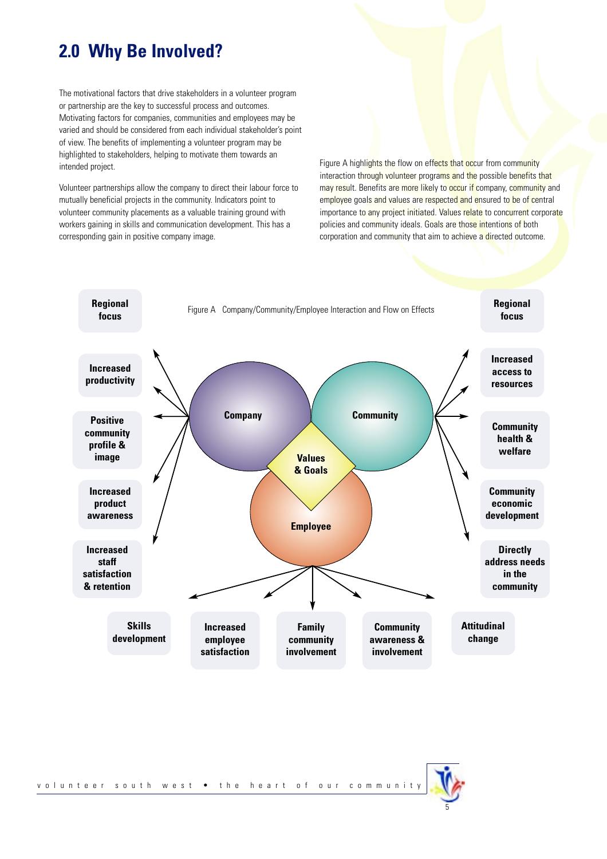## **2.0 Why Be Involved?**

The motivational factors that drive stakeholders in a volunteer program or partnership are the key to successful process and outcomes. Motivating factors for companies, communities and employees may be varied and should be considered from each individual stakeholder's point of view. The benefits of implementing a volunteer program may be highlighted to stakeholders, helping to motivate them towards an intended project.

Volunteer partnerships allow the company to direct their labour force to mutually beneficial projects in the community. Indicators point to volunteer community placements as a valuable training ground with workers gaining in skills and communication development. This has a corresponding gain in positive company image.

Figure A highlights the flow on effects that occur from community interaction through volunteer programs and the possible benefits that may result. Benefits are more likely to occur if company, community and employee goals and values are respected and ensured to be of central importance to any project initiated. Values relate to concurrent corporate policies and community ideals. Goals are those intentions of both corporation and community that aim to achieve a directed outcome.



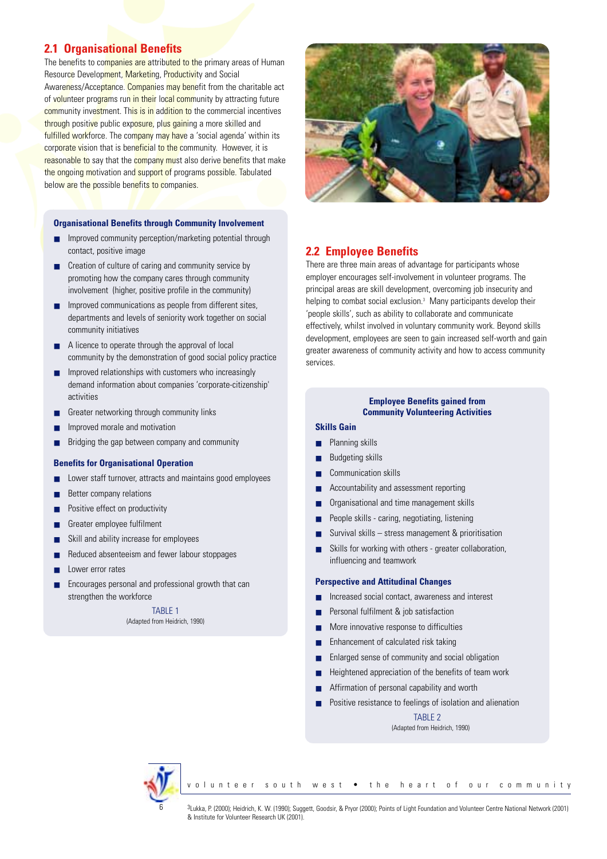## **2.1 Organisational Benefits**

The benefits to companies are attributed to the primary areas of Human Resource Development, Marketing, Productivity and Social Awareness/Acceptance. Companies may benefit from the charitable act of volunteer programs run in their local community by attracting future community investment. This is in addition to the commercial incentives through positive public exposure, plus gaining a more skilled and fulfilled workforce. The company may have a 'social agenda' within its corporate vision that is beneficial to the community. However, it is reasonable to say that the **company must also derive benefits that make** the ongoing motivation and support of programs possible. Tabulated below are the possible benefits to companies.

#### **Organisational Benefits through Community Involvement**

- Improved community perception/marketing potential through contact, positive image
- Creation of culture of caring and community service by promoting how the company cares through community involvement (higher, positive profile in the community)
- Improved communications as people from different sites, departments and levels of seniority work together on social community initiatives
- A licence to operate through the approval of local community by the demonstration of good social policy practice
- Improved relationships with customers who increasingly demand information about companies 'corporate-citizenship' activities
- Greater networking through community links
- Improved morale and motivation
- Bridging the gap between company and community

#### **Benefits for Organisational Operation**

- Lower staff turnover, attracts and maintains good employees
- Better company relations
- Positive effect on productivity
- Greater employee fulfilment
- Skill and ability increase for employees
- Reduced absenteeism and fewer labour stoppages
- Lower error rates
- Encourages personal and professional growth that can strengthen the workforce

TARI F 1 (Adapted from Heidrich, 1990)



### **2.2 Employee Benefits**

There are three main areas of advantage for participants whose employer encourages self-involvement in volunteer programs. The principal areas are skill development, overcoming job insecurity and helping to combat social exclusion.<sup>3</sup> Many participants develop their 'people skills', such as ability to collaborate and communicate effectively, whilst involved in voluntary community work. Beyond skills development, employees are seen to gain increased self-worth and gain greater awareness of community activity and how to access community services.

#### **Employee Benefits gained from Community Volunteering Activities**

## **Skills Gain**

- Planning skills
- **Budgeting skills**
- Communication skills
- Accountability and assessment reporting
- Organisational and time management skills
- People skills caring, negotiating, listening
- Survival skills stress management  $\&$  prioritisation
- Skills for working with others greater collaboration, influencing and teamwork

#### **Perspective and Attitudinal Changes**

- Increased social contact, awareness and interest
- Personal fulfilment & job satisfaction
- More innovative response to difficulties
- Enhancement of calculated risk taking
- Enlarged sense of community and social obligation
- Heightened appreciation of the benefits of team work
- Affirmation of personal capability and worth
- Positive resistance to feelings of isolation and alienation

TABLE 2 (Adapted from Heidrich, 1990)



volunteer south west • the heart of our community

3Lukka, P. (2000); Heidrich, K. W. (1990); Suggett, Goodsir, & Pryor (2000); Points of Light Foundation and Volunteer Centre National Network (2001) & Institute for Volunteer Research UK (2001).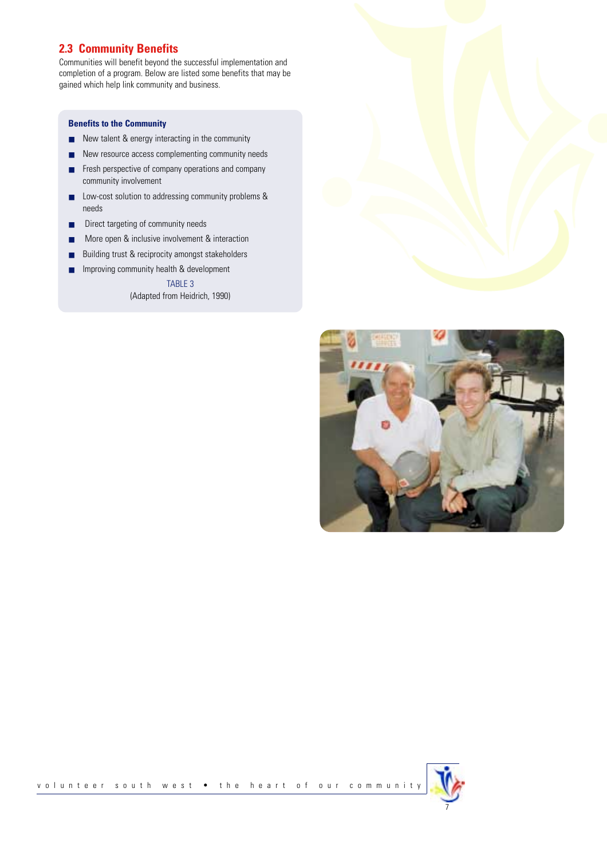## **2.3 Community Benefits**

Communities will benefit beyond the successful implementation and completion of a program. Below are listed some benefits that may be gained which help link community and business.

#### **Benefits to the Community**

- New talent & energy interacting in the community
- New resource access complementing community needs
- Fresh perspective of company operations and company community involvement
- Low-cost solution to addressing community problems & needs
- Direct targeting of community needs
- More open & inclusive involvement & interaction
- Building trust & reciprocity amongst stakeholders
- Improving community health & development

TABLE 3 (Adapted from Heidrich, 1990)



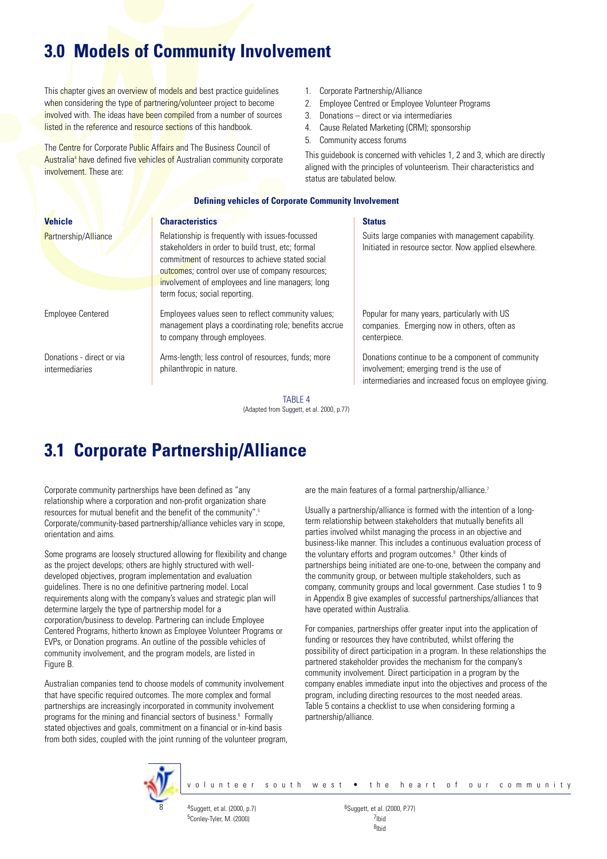## **3.0 Models of Community Involvement**

This chapter gives an overview of models and best practice guidelines when considering the type of partnering/volunteer project to become involved with. The ideas have been compiled from a number of sources listed in the reference and resource sections of this handbook.

The Centre for Corporate Public Affairs and The Business Council of Australia<sup>4</sup> have defined five vehicles of Australian community corporate involvement. These are:

- 1. Corporate Partnership/Alliance
- 2. Employee Centred or Employee Volunteer Programs
- 3. Donations direct or via intermediaries
- 4. Cause Related Marketing (CRM); sponsorship
- 5. Community access forums

This guidebook is concerned with vehicles 1, 2 and 3, which are directly aligned with the principles of volunteerism. Their characteristics and status are tabulated below.

#### **Defining vehicles of Corporate Community Involvement**

| <b>Vehicle</b>                                     | <b>Characteristics</b>                                                                                                                                                                                                                                                                            | <b>Status</b>                                                                                                                                            |
|----------------------------------------------------|---------------------------------------------------------------------------------------------------------------------------------------------------------------------------------------------------------------------------------------------------------------------------------------------------|----------------------------------------------------------------------------------------------------------------------------------------------------------|
| <b>Partnership/Alliance</b>                        | Relationship is frequently with issues-focussed<br>stakeholders in order to build trust, etc; formal<br>commitment of resources to achieve stated social<br>outcomes; control over use of company resources;<br>involvement of employees and line managers; long<br>term focus; social reporting. | Suits large companies with management capability.<br>Initiated in resource sector. Now applied elsewhere.                                                |
| <b>Employee Centered</b>                           | Employees values seen to reflect community values;<br>management plays a coordinating role; benefits accrue<br>to company through employees.                                                                                                                                                      | Popular for many years, particularly with US<br>companies. Emerging now in others, often as<br>centerpiece.                                              |
| Donations - direct or via<br><i>intermediaries</i> | Arms-length; less control of resources, funds; more<br>philanthropic in nature.                                                                                                                                                                                                                   | Donations continue to be a component of community<br>involvement; emerging trend is the use of<br>intermediaries and increased focus on employee giving. |
|                                                    | TARI F 4                                                                                                                                                                                                                                                                                          |                                                                                                                                                          |

(Adapted from Suggett, et al. 2000, p.77)

## **3.1 Corporate Partnership/Alliance**

Corporate community partnerships have been defined as "any relationship where a corporation and non-profit organization share resources for mutual benefit and the benefit of the community".<sup>5</sup> Corporate/community-based partnership/alliance vehicles vary in scope, orientation and aims.

Some programs are loosely structured allowing for flexibility and change as the project develops; others are highly structured with welldeveloped objectives, program implementation and evaluation guidelines. There is no one definitive partnering model. Local requirements along with the company's values and strategic plan will determine largely the type of partnership model for a corporation/business to develop. Partnering can include Employee Centered Programs, hitherto known as Employee Volunteer Programs or EVPs, or Donation programs. An outline of the possible vehicles of community involvement, and the program models, are listed in Figure B.

Australian companies tend to choose models of community involvement that have specific required outcomes. The more complex and formal partnerships are increasingly incorporated in community involvement programs for the mining and financial sectors of business.<sup>6</sup> Formally stated objectives and goals, commitment on a financial or in-kind basis from both sides, coupled with the joint running of the volunteer program, are the main features of a formal partnership/alliance.<sup>7</sup>

Usually a partnership/alliance is formed with the intention of a longterm relationship between stakeholders that mutually benefits all parties involved whilst managing the process in an objective and business-like manner. This includes a continuous evaluation process of the voluntary efforts and program outcomes.<sup>8</sup> Other kinds of partnerships being initiated are one-to-one, between the company and the community group, or between multiple stakeholders, such as company, community groups and local government. Case studies 1 to 9 in Appendix B give examples of successful partnerships/alliances that have operated within Australia.

For companies, partnerships offer greater input into the application of funding or resources they have contributed, whilst offering the possibility of direct participation in a program. In these relationships the partnered stakeholder provides the mechanism for the company's community involvement. Direct participation in a program by the company enables immediate input into the objectives and process of the program, including directing resources to the most needed areas. Table 5 contains a checklist to use when considering forming a partnership/alliance.



volunteer south west • the heart of our community

5Conley-Tyler, M. (2000) 7Ibid

 $^{4}$ Suggett, et al. (2000, p.7) 6Suggett, et al. (2000, P.77) 8Ibid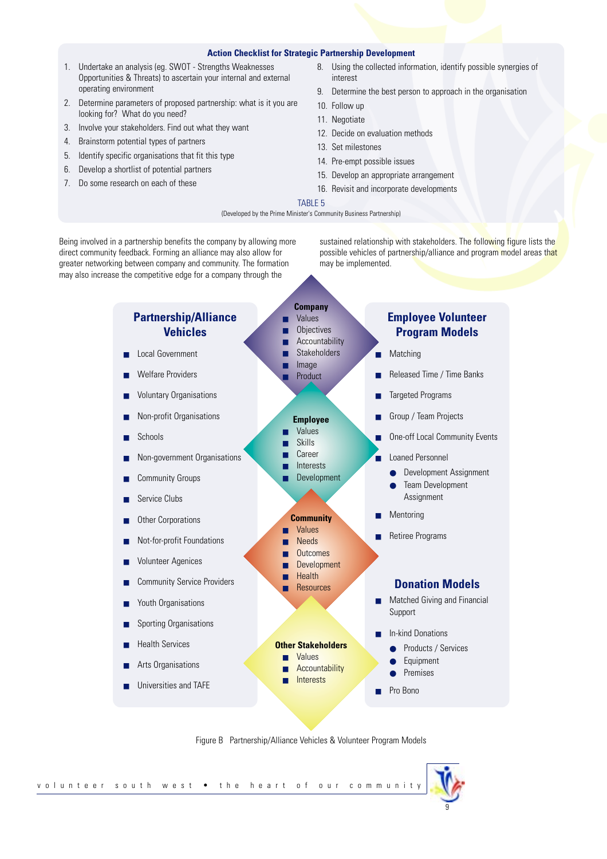#### **Action Checklist for Strategic Partnership Development**

- 1. Undertake an analysis (eg. SWOT Strengths Weaknesses Opportunities & Threats) to ascertain your internal and external operating environment
- 2. Determine parameters of proposed partnership: what is it you are looking for? What do you need?
- 3. Involve your stakeholders. Find out what they want
- 4. Brainstorm potential types of partners
- 5. Identify specific organisations that fit this type
- 6. Develop a shortlist of potential partners
- 7. Do some research on each of these
- 8. Using the collected information, identify possible synergies of interest
- 9. Determine the best person to approach in the organisation
- 10. Follow up
- 11. Negotiate
- 12. Decide on evaluation methods
- 13. Set milestones
- 14. Pre-empt possible issues
- 15. Develop an appropriate arrangement
- 16. Revisit and incorporate developments

#### TABLE 5

(Developed by the Prime Minister's Community Business Partnership)

Being involved in a partnership benefits the company by allowing more direct community feedback. Forming an alliance may also allow for greater networking between company and community. The formation may also increase the competitive edge for a company through the

sustained relationship with stakeholders. The following figure lists the possible vehicles of partnership/alliance and program model areas that may be implemented.



Figure B Partnership/Alliance Vehicles & Volunteer Program Models

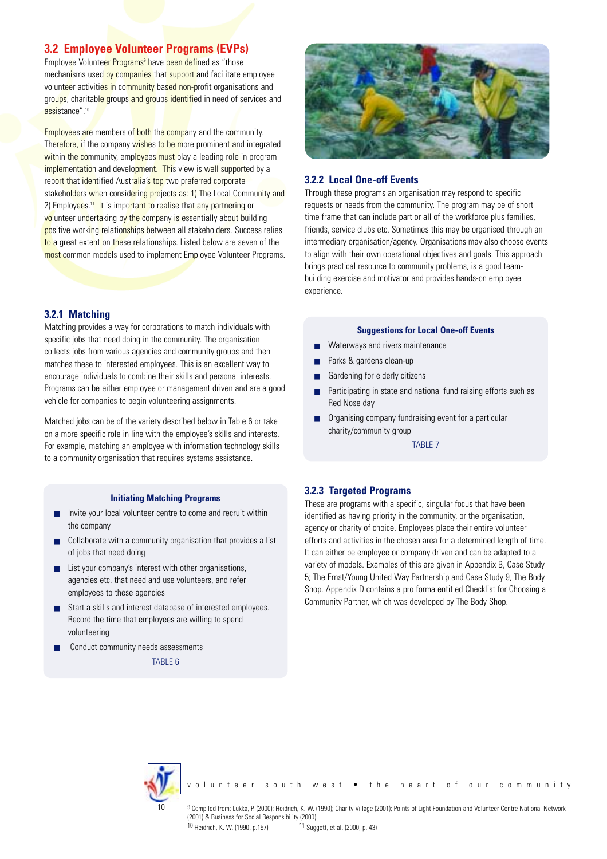## **3.2 Employee Volunteer Programs (EVPs)**

Employee Volunteer Programs<sup>9</sup> have been defined as "those mechanisms used by companies that support and facilitate employee volunteer activities in community based non-profit organisations and groups, charitable groups and groups identified in need of services and assistance".10

Employees are members of both the company and the community. Therefore, if the company wishes to be more prominent and integrated within the community, employees must play a leading role in program implementation and development. This view is well supported by a report that identified Australia's top two preferred corporate stakeholders when considering projects as: 1) The Local Community and 2) Employees.<sup>11</sup> It is important to realise that any partnering or volunteer undertaking by the company is essentially about building positive working relationships between all stakeholders. Success relies to a great extent on these relationships. Listed below are seven of the most common models used to implement Employee Volunteer Programs.

### **3.2.1 Matching**

Matching provides a way for corporations to match individuals with specific jobs that need doing in the community. The organisation collects jobs from various agencies and community groups and then matches these to interested employees. This is an excellent way to encourage individuals to combine their skills and personal interests. Programs can be either employee or management driven and are a good vehicle for companies to begin volunteering assignments.

Matched jobs can be of the variety described below in Table 6 or take on a more specific role in line with the employee's skills and interests. For example, matching an employee with information technology skills to a community organisation that requires systems assistance.

#### **Initiating Matching Programs**

- Invite your local volunteer centre to come and recruit within the company
- Collaborate with a community organisation that provides a list of jobs that need doing
- List your company's interest with other organisations, agencies etc. that need and use volunteers, and refer employees to these agencies
- Start a skills and interest database of interested employees. Record the time that employees are willing to spend volunteering
- Conduct community needs assessments

TABLE 6



#### **3.2.2 Local One-off Events**

Through these programs an organisation may respond to specific requests or needs from the community. The program may be of short time frame that can include part or all of the workforce plus families, friends, service clubs etc. Sometimes this may be organised through an intermediary organisation/agency. Organisations may also choose events to align with their own operational objectives and goals. This approach brings practical resource to community problems, is a good teambuilding exercise and motivator and provides hands-on employee experience.

#### **Suggestions for Local One-off Events**

- Waterways and rivers maintenance
- Parks & gardens clean-up
- Gardening for elderly citizens
- Participating in state and national fund raising efforts such as Red Nose day
- Organising company fundraising event for a particular charity/community group

TABLE 7

#### **3.2.3 Targeted Programs**

These are programs with a specific, singular focus that have been identified as having priority in the community, or the organisation, agency or charity of choice. Employees place their entire volunteer efforts and activities in the chosen area for a determined length of time. It can either be employee or company driven and can be adapted to a variety of models. Examples of this are given in Appendix B, Case Study 5; The Ernst/Young United Way Partnership and Case Study 9, The Body Shop. Appendix D contains a pro forma entitled Checklist for Choosing a Community Partner, which was developed by The Body Shop.



volunteer south west • the heart of our community

9 Compiled from: Lukka, P. (2000); Heidrich, K. W. (1990); Charity Village (2001); Points of Light Foundation and Volunteer Centre National Network (2001) & Business for Social Responsibility (2000).

10 Heidrich, K. W. (1990, p.157) 11 Suggett, et al. (2000, p. 43)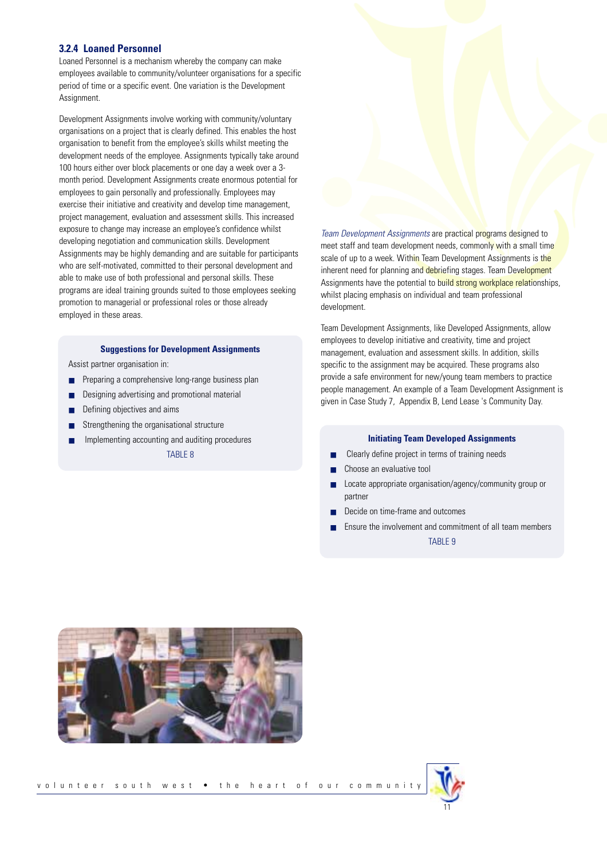#### **3.2.4 Loaned Personnel**

Loaned Personnel is a mechanism whereby the company can make employees available to community/volunteer organisations for a specific period of time or a specific event. One variation is the Development Assignment.

Development Assignments involve working with community/voluntary organisations on a project that is clearly defined. This enables the host organisation to benefit from the employee's skills whilst meeting the development needs of the employee. Assignments typically take around 100 hours either over block placements or one day a week over a 3 month period. Development Assignments create enormous potential for employees to gain personally and professionally. Employees may exercise their initiative and creativity and develop time management, project management, evaluation and assessment skills. This increased exposure to change may increase an employee's confidence whilst developing negotiation and communication skills. Development Assignments may be highly demanding and are suitable for participants who are self-motivated, committed to their personal development and able to make use of both professional and personal skills. These programs are ideal training grounds suited to those employees seeking promotion to managerial or professional roles or those already employed in these areas.

#### **Suggestions for Development Assignments**

Assist partner organisation in:

- Preparing a comprehensive long-range business plan
- Designing advertising and promotional material
- Defining objectives and aims
- Strengthening the organisational structure
- Implementing accounting and auditing procedures

TABLE 8

*Team Development Assignments* are practical programs designed to meet staff and team development needs, commonly with a small time scale of up to a week. Within Team Development Assignments is the inherent need for planning and debriefing stages. Team Development Assignments have the potential to build strong workplace relationships, whilst placing emphasis on individual and team professional development.

Team Development Assignments, like Developed Assignments, allow employees to develop initiative and creativity, time and project management, evaluation and assessment skills. In addition, skills specific to the assignment may be acquired. These programs also provide a safe environment for new/young team members to practice people management. An example of a Team Development Assignment is given in Case Study 7, Appendix B, Lend Lease 's Community Day.

#### **Initiating Team Developed Assignments**

- Clearly define project in terms of training needs
- Choose an evaluative tool
- Locate appropriate organisation/agency/community group or partner
- Decide on time-frame and outcomes
- Ensure the involvement and commitment of all team members TABLE 9



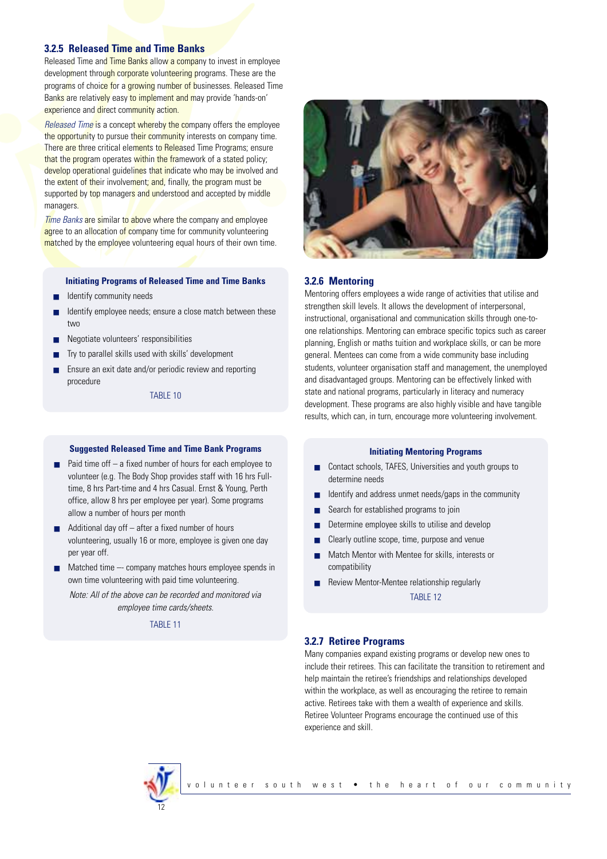#### **3.2.5 Released Time and Time Banks**

Released Time and Time Banks allow a company to invest in employee development through corporate volunteering programs. These are the programs of choice for a growing number of businesses. Released Time Banks are relatively easy to implement and may provide 'hands-on' experience and direct community action.

*Released Time* is a concept whereby the company offers the employee the opportunity to pursue their community interests on company time. There are three critical elements to Released Time Programs; ensure that the program operates within the framework of a stated policy; develop operational guidelines that indicate who may be involved and the extent of their involvement; and, finally, the program must be supported by top managers and understood and accepted by middle managers.

*Time Banks* are similar to above where the company and employee agree to an allocation of company time for community volunteering matched by the employee volunteering equal hours of their own time.

#### **Initiating Programs of Released Time and Time Banks**

- Identify community needs
- Identify employee needs: ensure a close match between these two
- Negotiate volunteers' responsibilities
- Try to parallel skills used with skills' development
- Ensure an exit date and/or periodic review and reporting procedure

TABLE 10

#### **Suggested Released Time and Time Bank Programs**

- Paid time off  $-$  a fixed number of hours for each employee to volunteer (e.g. The Body Shop provides staff with 16 hrs Fulltime, 8 hrs Part-time and 4 hrs Casual. Ernst & Young, Perth office, allow 8 hrs per employee per year). Some programs allow a number of hours per month
- Additional day off after a fixed number of hours volunteering, usually 16 or more, employee is given one day per year off.
- Matched time –- company matches hours employee spends in own time volunteering with paid time volunteering.

*Note: All of the above can be recorded and monitored via employee time cards/sheets.*

TABLE 11



#### **3.2.6 Mentoring**

Mentoring offers employees a wide range of activities that utilise and strengthen skill levels. It allows the development of interpersonal, instructional, organisational and communication skills through one-toone relationships. Mentoring can embrace specific topics such as career planning, English or maths tuition and workplace skills, or can be more general. Mentees can come from a wide community base including students, volunteer organisation staff and management, the unemployed and disadvantaged groups. Mentoring can be effectively linked with state and national programs, particularly in literacy and numeracy development. These programs are also highly visible and have tangible results, which can, in turn, encourage more volunteering involvement.

#### **Initiating Mentoring Programs**

- Contact schools, TAFES, Universities and youth groups to determine needs
- Identify and address unmet needs/gaps in the community
- Search for established programs to join
- Determine employee skills to utilise and develop
- Clearly outline scope, time, purpose and venue
- Match Mentor with Mentee for skills, interests or compatibility
- Review Mentor-Mentee relationship regularly

TABLE 12

#### **3.2.7 Retiree Programs**

Many companies expand existing programs or develop new ones to include their retirees. This can facilitate the transition to retirement and help maintain the retiree's friendships and relationships developed within the workplace, as well as encouraging the retiree to remain active. Retirees take with them a wealth of experience and skills. Retiree Volunteer Programs encourage the continued use of this experience and skill.

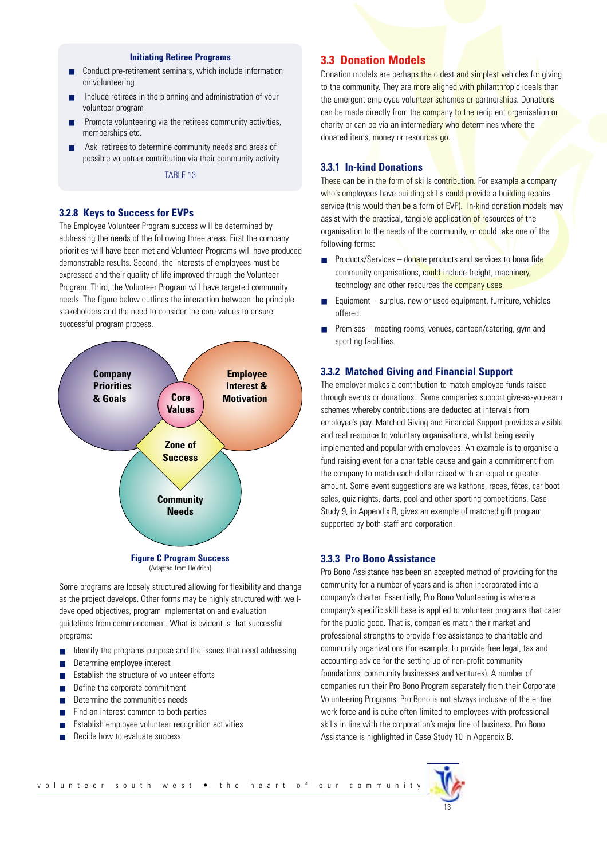#### **Initiating Retiree Programs**

- Conduct pre-retirement seminars, which include information on volunteering
- Include retirees in the planning and administration of your volunteer program
- Promote volunteering via the retirees community activities, memberships etc.
- Ask retirees to determine community needs and areas of possible volunteer contribution via their community activity

TABLE 13

#### **3.2.8 Keys to Success for EVPs**

The Employee Volunteer Program success will be determined by addressing the needs of the following three areas. First the company priorities will have been met and Volunteer Programs will have produced demonstrable results. Second, the interests of employees must be expressed and their quality of life improved through the Volunteer Program. Third, the Volunteer Program will have targeted community needs. The figure below outlines the interaction between the principle stakeholders and the need to consider the core values to ensure successful program process.



(Adapted from Heidrich)

Some programs are loosely structured allowing for flexibility and change as the project develops. Other forms may be highly structured with welldeveloped objectives, program implementation and evaluation guidelines from commencement. What is evident is that successful programs:

- Identify the programs purpose and the issues that need addressing
- Determine employee interest
- Establish the structure of volunteer efforts
- Define the corporate commitment
- Determine the communities needs
- Find an interest common to both parties
- Establish employee volunteer recognition activities
- Decide how to evaluate success

### **3.3 Donation Models**

Donation models are perhaps the oldest and simplest vehicles for giving to the community. They are more aligned with philanthropic ideals than the emergent employee volunteer schemes or partnerships. Donations can be made directly from the company to the recipient organisation or charity or can be via an intermediary who determines where the donated items, money or resources go.

#### **3.3.1 In-kind Donations**

These can be in the form of skills contribution. For example a company who's employees have building skills could provide a building repairs service (this would then be a form of EVP). In-kind donation models may assist with the practical, tangible application of resources of the organisation to the needs of the community, or could take one of the following forms:

- Products/Services donate products and services to bona fide community organisations, could include freight, machinery, technology and other resources the company uses.
- $Equipment surplus, new or used equipment, turn it is, vehicles$ offered.
- Premises meeting rooms, venues, canteen/catering, gym and sporting facilities.

#### **3.3.2 Matched Giving and Financial Support**

The employer makes a contribution to match employee funds raised through events or donations. Some companies support give-as-you-earn schemes whereby contributions are deducted at intervals from employee's pay. Matched Giving and Financial Support provides a visible and real resource to voluntary organisations, whilst being easily implemented and popular with employees. An example is to organise a fund raising event for a charitable cause and gain a commitment from the company to match each dollar raised with an equal or greater amount. Some event suggestions are walkathons, races, fêtes, car boot sales, quiz nights, darts, pool and other sporting competitions. Case Study 9, in Appendix B, gives an example of matched gift program supported by both staff and corporation.

#### **3.3.3 Pro Bono Assistance**

Pro Bono Assistance has been an accepted method of providing for the community for a number of years and is often incorporated into a company's charter. Essentially, Pro Bono Volunteering is where a company's specific skill base is applied to volunteer programs that cater for the public good. That is, companies match their market and professional strengths to provide free assistance to charitable and community organizations (for example, to provide free legal, tax and accounting advice for the setting up of non-profit community foundations, community businesses and ventures). A number of companies run their Pro Bono Program separately from their Corporate Volunteering Programs. Pro Bono is not always inclusive of the entire work force and is quite often limited to employees with professional skills in line with the corporation's major line of business. Pro Bono Assistance is highlighted in Case Study 10 in Appendix B.

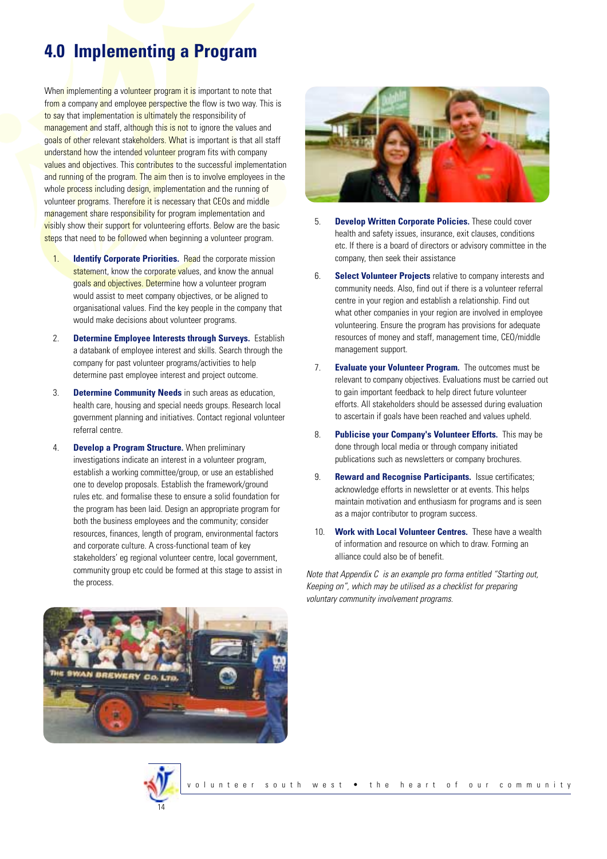## **4.0 Implementing a Program**

When implementing a volunteer program it is important to note that from a company and employee perspective the flow is two way. This is to say that implementation is ultimately the responsibility of management and staff, although this is not to ignore the values and goals of other relevant stakeholders. What is important is that all staff understand how the intended volunteer program fits with company values and objectives. This contributes to the successful implementation and running of the program. The aim then is to involve employees in the whole process including design, implementation and the running of volunteer programs. Therefore it is necessary that CEOs and middle management share responsibility for program implementation and visibly show their support for volunteering efforts. Below are the basic steps that need to be followed when beginning a volunteer program.

- 1. **Identify Corporate Priorities.** Read the corporate mission statement, know the corporate values, and know the annual goals and objectives. Determine how a volunteer program would assist to meet company objectives, or be aligned to organisational values. Find the key people in the company that would make decisions about volunteer programs.
- 2. **Determine Employee Interests through Surveys.** Establish a databank of employee interest and skills. Search through the company for past volunteer programs/activities to help determine past employee interest and project outcome.
- 3. **Determine Community Needs** in such areas as education, health care, housing and special needs groups. Research local government planning and initiatives. Contact regional volunteer referral centre.
- 4. **Develop a Program Structure.** When preliminary investigations indicate an interest in a volunteer program, establish a working committee/group, or use an established one to develop proposals. Establish the framework/ground rules etc. and formalise these to ensure a solid foundation for the program has been laid. Design an appropriate program for both the business employees and the community; consider resources, finances, length of program, environmental factors and corporate culture. A cross-functional team of key stakeholders' eg regional volunteer centre, local government, community group etc could be formed at this stage to assist in the process.



- 5. **Develop Written Corporate Policies.** These could cover health and safety issues, insurance, exit clauses, conditions etc. If there is a board of directors or advisory committee in the company, then seek their assistance
- 6. **Select Volunteer Projects** relative to company interests and community needs. Also, find out if there is a volunteer referral centre in your region and establish a relationship. Find out what other companies in your region are involved in employee volunteering. Ensure the program has provisions for adequate resources of money and staff, management time, CEO/middle management support.
- 7. **Evaluate your Volunteer Program.** The outcomes must be relevant to company objectives. Evaluations must be carried out to gain important feedback to help direct future volunteer efforts. All stakeholders should be assessed during evaluation to ascertain if goals have been reached and values upheld.
- 8. **Publicise your Company's Volunteer Efforts.** This may be done through local media or through company initiated publications such as newsletters or company brochures.
- 9. **Reward and Recognise Participants.** Issue certificates; acknowledge efforts in newsletter or at events. This helps maintain motivation and enthusiasm for programs and is seen as a major contributor to program success.
- 10. **Work with Local Volunteer Centres.** These have a wealth of information and resource on which to draw. Forming an alliance could also be of benefit.

*Note that Appendix C is an example pro forma entitled "Starting out, Keeping on", which may be utilised as a checklist for preparing voluntary community involvement programs.*



14

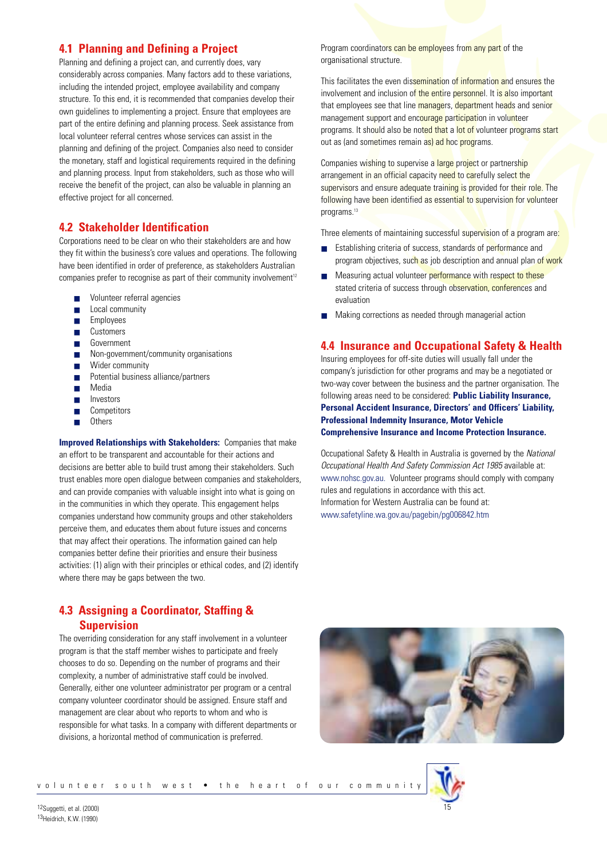## **4.1 Planning and Defining a Project**

Planning and defining a project can, and currently does, vary considerably across companies. Many factors add to these variations, including the intended project, employee availability and company structure. To this end, it is recommended that companies develop their own guidelines to implementing a project. Ensure that employees are part of the entire defining and planning process. Seek assistance from local volunteer referral centres whose services can assist in the planning and defining of the project. Companies also need to consider the monetary, staff and logistical requirements required in the defining and planning process. Input from stakeholders, such as those who will receive the benefit of the project, can also be valuable in planning an effective project for all concerned.

## **4.2 Stakeholder Identification**

Corporations need to be clear on who their stakeholders are and how they fit within the business's core values and operations. The following have been identified in order of preference, as stakeholders Australian companies prefer to recognise as part of their community involvement<sup>12</sup>

- Volunteer referral agencies
- Local community
- Employees
- **Customers**
- Government
- Non-government/community organisations
- Wider community
- Potential business alliance/partners
- Media
- Investors
- Competitors
- Others

**Improved Relationships with Stakeholders:** Companies that make an effort to be transparent and accountable for their actions and decisions are better able to build trust among their stakeholders. Such trust enables more open dialogue between companies and stakeholders, and can provide companies with valuable insight into what is going on in the communities in which they operate. This engagement helps companies understand how community groups and other stakeholders perceive them, and educates them about future issues and concerns that may affect their operations. The information gained can help companies better define their priorities and ensure their business activities: (1) align with their principles or ethical codes, and (2) identify where there may be gaps between the two.

## **4.3 Assigning a Coordinator, Staffing & Supervision**

The overriding consideration for any staff involvement in a volunteer program is that the staff member wishes to participate and freely chooses to do so. Depending on the number of programs and their complexity, a number of administrative staff could be involved. Generally, either one volunteer administrator per program or a central company volunteer coordinator should be assigned. Ensure staff and management are clear about who reports to whom and who is responsible for what tasks. In a company with different departments or divisions, a horizontal method of communication is preferred.

Program coordinators can be employees from any part of the organisational structure.

This facilitates the even dissemination of information and ensures the involvement and inclusion of the entire personnel. It is also important that employees see that line managers, department heads and senior management support and encourage participation in volunteer programs. It should also be noted that a lot of volunteer programs start out as (and sometimes remain as) ad hoc programs.

Companies wishing to supervise a large project or partnership arrangement in an official capacity need to carefully select the supervisors and ensure adequate training is provided for their role. The following have been identified as essential to supervision for volunteer programs.<sup>13</sup>

Three elements of maintaining successful supervision of a program are:

- Establishing criteria of success, standards of performance and program objectives, such as job description and annual plan of work
- Measuring actual volunteer performance with respect to these stated criteria of success through observation, conferences and evaluation
- Making corrections as needed through managerial action

## **4.4 Insurance and Occupational Safety & Health**

Insuring employees for off-site duties will usually fall under the company's jurisdiction for other programs and may be a negotiated or two-way cover between the business and the partner organisation. The following areas need to be considered: **Public Liability Insurance, Personal Accident Insurance, Directors' and Officers' Liability, Professional Indemnity Insurance, Motor Vehicle Comprehensive Insurance and Income Protection Insurance.**

Occupational Safety & Health in Australia is governed by the *National Occupational Health And Safety Commission Act 1985* available at: www.nohsc.gov.au. Volunteer programs should comply with company rules and regulations in accordance with this act. Information for Western Australia can be found at: www.safetyline.wa.gov.au/pagebin/pg006842.htm



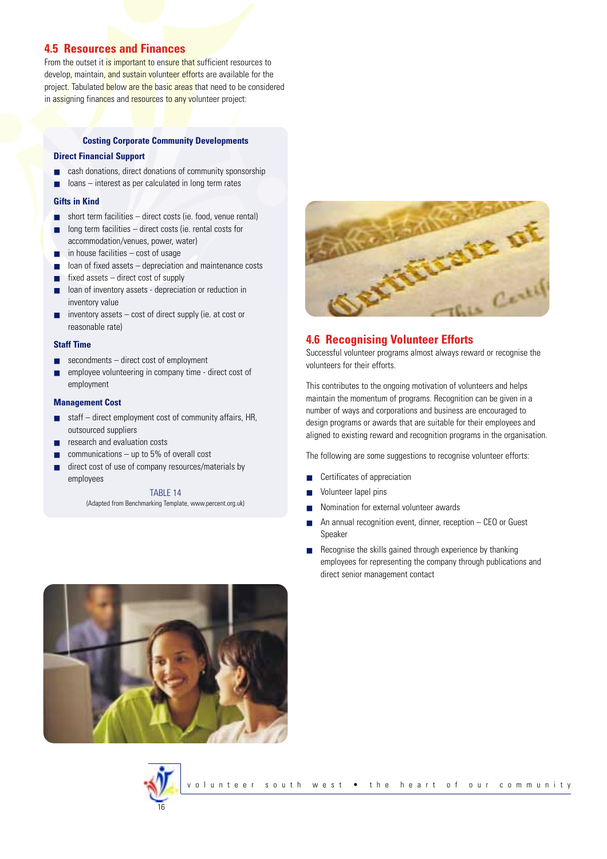## **4.5 Resources and Finances**

From the outset it is important to ensure that sufficient resources to develop, maintain, and sustain volunteer efforts are available for the project. Tabulated below are the basic areas that need to be considered in assigning finances and resources to any volunteer project:

#### **Costing Corporate Community Developments**

#### **Direct Financial Support**

- cash donations, direct donations of community sponsorship
- loans interest as per calculated in long term rates

#### **Gifts in Kind**

- short term facilities direct costs (ie. food, venue rental)
- $long$  term facilities  $-$  direct costs (ie. rental costs for accommodation/venues, power, water)
- in house facilities cost of usage
- loan of fixed assets depreciation and maintenance costs
- $fixed$  assets  $-$  direct cost of supply
- loan of inventory assets depreciation or reduction in inventory value
- inventory assets cost of direct supply (ie. at cost or reasonable rate)

#### **Staff Time**

- secondments direct cost of employment
- employee volunteering in company time direct cost of employment

#### **Management Cost**

- staff direct employment cost of community affairs, HR, outsourced suppliers
- research and evaluation costs
- communications  $-$  up to 5% of overall cost
- direct cost of use of company resources/materials by employees

TABLE 14 (Adapted from Benchmarking Template, www.percent.org.uk)



## **4.6 Recognising Volunteer Efforts**

Successful volunteer programs almost always reward or recognise the volunteers for their efforts.

This contributes to the ongoing motivation of volunteers and helps maintain the momentum of programs. Recognition can be given in a number of ways and corporations and business are encouraged to design programs or awards that are suitable for their employees and aligned to existing reward and recognition programs in the organisation.

The following are some suggestions to recognise volunteer efforts:

- Certificates of appreciation
- Volunteer lapel pins
- Nomination for external volunteer awards
- An annual recognition event, dinner, reception CEO or Guest Speaker
- Recognise the skills gained through experience by thanking employees for representing the company through publications and direct senior management contact



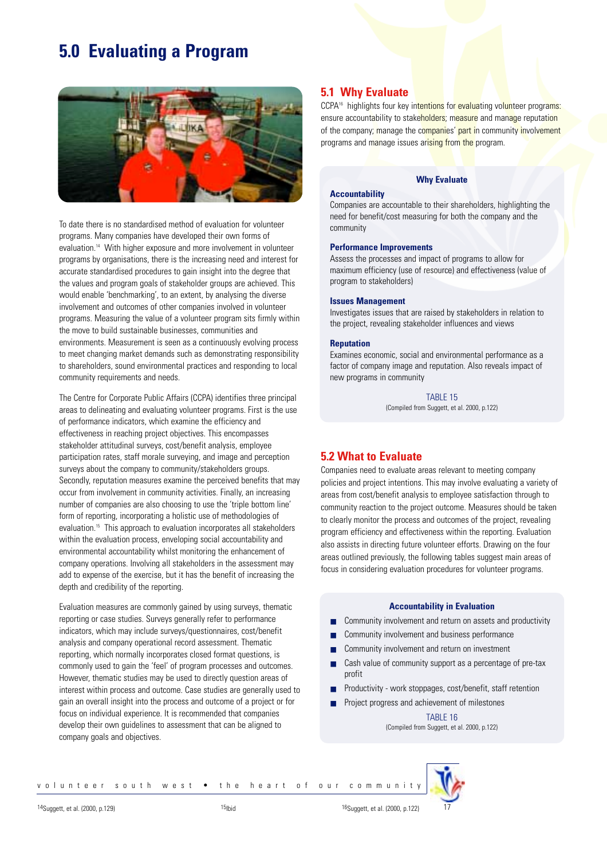## **5.0 Evaluating a Program**



To date there is no standardised method of evaluation for volunteer programs. Many companies have developed their own forms of evaluation.14 With higher exposure and more involvement in volunteer programs by organisations, there is the increasing need and interest for accurate standardised procedures to gain insight into the degree that the values and program goals of stakeholder groups are achieved. This would enable 'benchmarking', to an extent, by analysing the diverse involvement and outcomes of other companies involved in volunteer programs. Measuring the value of a volunteer program sits firmly within the move to build sustainable businesses, communities and environments. Measurement is seen as a continuously evolving process to meet changing market demands such as demonstrating responsibility to shareholders, sound environmental practices and responding to local community requirements and needs.

The Centre for Corporate Public Affairs (CCPA) identifies three principal areas to delineating and evaluating volunteer programs. First is the use of performance indicators, which examine the efficiency and effectiveness in reaching project objectives. This encompasses stakeholder attitudinal surveys, cost/benefit analysis, employee participation rates, staff morale surveying, and image and perception surveys about the company to community/stakeholders groups. Secondly, reputation measures examine the perceived benefits that may occur from involvement in community activities. Finally, an increasing number of companies are also choosing to use the 'triple bottom line' form of reporting, incorporating a holistic use of methodologies of evaluation.<sup>15</sup> This approach to evaluation incorporates all stakeholders within the evaluation process, enveloping social accountability and environmental accountability whilst monitoring the enhancement of company operations. Involving all stakeholders in the assessment may add to expense of the exercise, but it has the benefit of increasing the depth and credibility of the reporting.

Evaluation measures are commonly gained by using surveys, thematic reporting or case studies. Surveys generally refer to performance indicators, which may include surveys/questionnaires, cost/benefit analysis and company operational record assessment. Thematic reporting, which normally incorporates closed format questions, is commonly used to gain the 'feel' of program processes and outcomes. However, thematic studies may be used to directly question areas of interest within process and outcome. Case studies are generally used to gain an overall insight into the process and outcome of a project or for focus on individual experience. It is recommended that companies develop their own guidelines to assessment that can be aligned to company goals and objectives.

## **5.1 Why Evaluate**

CCPA<sup>16</sup> highlights four key intentions for evaluating volunteer programs: ensure accountability to stakeholders; measure and manage reputation of the company; manage the companies' part in community involvement programs and manage issues arising from the program.

## **Accountability**

## **Why Evaluate**

Companies are accountable to their shareholders, highlighting the need for benefit/cost measuring for both the company and the community

#### **Performance Improvements**

Assess the processes and impact of programs to allow for maximum efficiency (use of resource) and effectiveness (value of program to stakeholders)

#### **Issues Management**

Investigates issues that are raised by stakeholders in relation to the project, revealing stakeholder influences and views

#### **Reputation**

Examines economic, social and environmental performance as a factor of company image and reputation. Also reveals impact of new programs in community

> TABLE 15 (Compiled from Suggett, et al. 2000, p.122)

### **5.2 What to Evaluate**

Companies need to evaluate areas relevant to meeting company policies and project intentions. This may involve evaluating a variety of areas from cost/benefit analysis to employee satisfaction through to community reaction to the project outcome. Measures should be taken to clearly monitor the process and outcomes of the project, revealing program efficiency and effectiveness within the reporting. Evaluation also assists in directing future volunteer efforts. Drawing on the four areas outlined previously, the following tables suggest main areas of focus in considering evaluation procedures for volunteer programs.

#### **Accountability in Evaluation**

- Community involvement and return on assets and productivity
- Community involvement and business performance
- Community involvement and return on investment
- Cash value of community support as a percentage of pre-tax profit
- Productivity work stoppages, cost/benefit, staff retention
- Project progress and achievement of milestones

TABLE 16 (Compiled from Suggett, et al. 2000, p.122)



<sup>14</sup>Suggett, et al. (2000, p.129) <sup>15</sup>Ibid <sup>15</sup>1bid <sup>15</sup>Suggett, et al. (2000, p.122)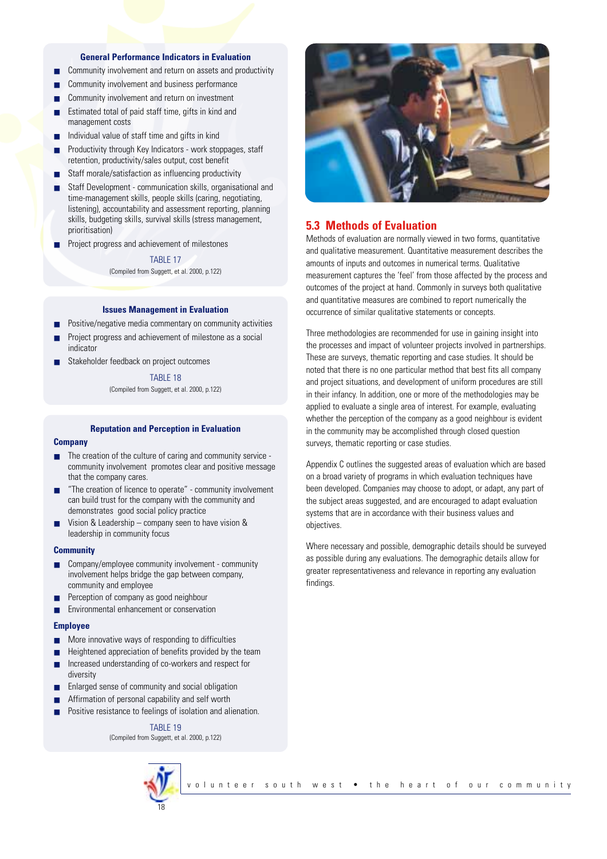#### **General Performance Indicators in Evaluation**

- Community involvement and return on assets and productivity
- Community involvement and business performance
- Community involvement and return on investment
- Estimated total of paid staff time, gifts in kind and management costs
- Individual value of staff time and gifts in kind
- Productivity through Key Indicators work stoppages, staff retention, productivity/sales output, cost benefit
- Staff morale/satisfaction as influencing productivity
- Staff Development communication skills, organisational and time-management skills, people skills (caring, negotiating, listening), accountability and assessment reporting, planning skills, budgeting skills, survival skills (stress management, prioritisation)
- Project progress and achievement of milestones

TARI F 17 (Compiled from Suggett, et al. 2000, p.122)

#### **Issues Management in Evaluation**

- Positive/negative media commentary on community activities
- Project progress and achievement of milestone as a social indicator
- Stakeholder feedback on project outcomes

TABLE 18 (Compiled from Suggett, et al. 2000, p.122)

## **Reputation and Perception in Evaluation**

#### **Company**

- The creation of the culture of caring and community service community involvement promotes clear and positive message that the company cares.
- "The creation of licence to operate" community involvement can build trust for the company with the community and demonstrates good social policy practice
- Vision & Leadership company seen to have vision & leadership in community focus

#### **Community**

- Company/employee community involvement community involvement helps bridge the gap between company, community and employee
- Perception of company as good neighbour
- Environmental enhancement or conservation

#### **Employee**

- More innovative ways of responding to difficulties
- Heightened appreciation of benefits provided by the team
- Increased understanding of co-workers and respect for diversity
- Enlarged sense of community and social obligation
- Affirmation of personal capability and self worth
- Positive resistance to feelings of isolation and alienation.

#### TABLE 19

(Compiled from Suggett, et al. 2000, p.122)





### **5.3 Methods of Evaluation**

Methods of evaluation are normally viewed in two forms, quantitative and qualitative measurement. Quantitative measurement describes the amounts of inputs and outcomes in numerical terms. Qualitative measurement captures the 'feel' from those affected by the process and outcomes of the project at hand. Commonly in surveys both qualitative and quantitative measures are combined to report numerically the occurrence of similar qualitative statements or concepts.

Three methodologies are recommended for use in gaining insight into the processes and impact of volunteer projects involved in partnerships. These are surveys, thematic reporting and case studies. It should be noted that there is no one particular method that best fits all company and project situations, and development of uniform procedures are still in their infancy. In addition, one or more of the methodologies may be applied to evaluate a single area of interest. For example, evaluating whether the perception of the company as a good neighbour is evident in the community may be accomplished through closed question surveys, thematic reporting or case studies.

Appendix C outlines the suggested areas of evaluation which are based on a broad variety of programs in which evaluation techniques have been developed. Companies may choose to adopt, or adapt, any part of the subject areas suggested, and are encouraged to adapt evaluation systems that are in accordance with their business values and objectives.

Where necessary and possible, demographic details should be surveyed as possible during any evaluations. The demographic details allow for greater representativeness and relevance in reporting any evaluation findings.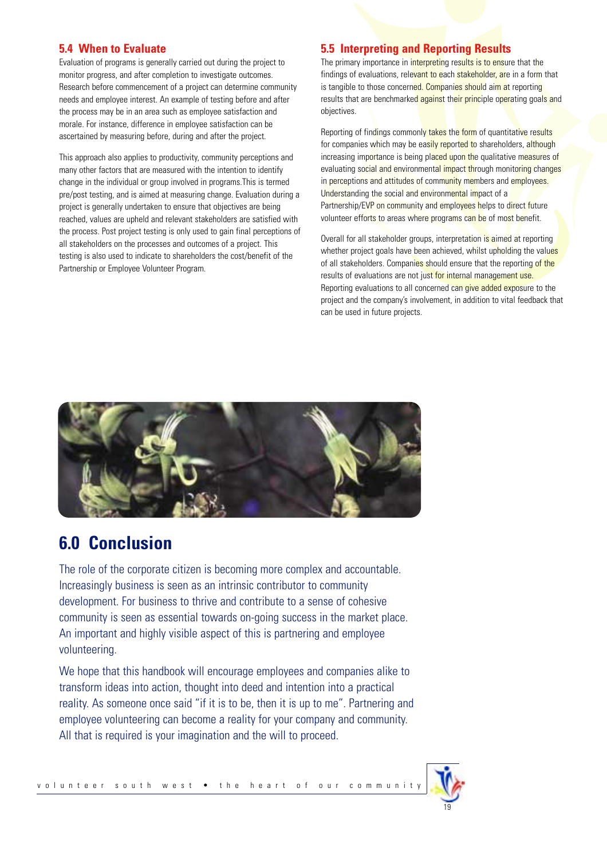## **5.4 When to Evaluate**

Evaluation of programs is generally carried out during the project to monitor progress, and after completion to investigate outcomes. Research before commencement of a project can determine community needs and employee interest. An example of testing before and after the process may be in an area such as employee satisfaction and morale. For instance, difference in employee satisfaction can be ascertained by measuring before, during and after the project.

This approach also applies to productivity, community perceptions and many other factors that are measured with the intention to identify change in the individual or group involved in programs.This is termed pre/post testing, and is aimed at measuring change. Evaluation during a project is generally undertaken to ensure that objectives are being reached, values are upheld and relevant stakeholders are satisfied with the process. Post project testing is only used to gain final perceptions of all stakeholders on the processes and outcomes of a project. This testing is also used to indicate to shareholders the cost/benefit of the Partnership or Employee Volunteer Program.

## **5.5 Interpreting and Reporting Results**

The primary importance in interpreting results is to ensure that the findings of evaluations, relevant to each **stakeholder, are in a form** that is tangible to those concerned. Companies should aim at reporting results that are benchmarked against their principle operating goals and objectives.

Reporting of findings commonly takes the form of quantitative results for companies which may be easily reported to shareholders, although increasing importance is being placed upon the qualitative measures of evaluating social and environmental impact through monitoring changes in perceptions and attitudes of community members and employees. Understanding the social and environmental impact of a Partnership/EVP on community and employees helps to direct future volunteer efforts to areas where programs can be of most benefit.

Overall for all stakeholder groups, interpretation is aimed at reporting whether project goals have been achieved, whilst upholding the values of all stakeholders. Companies should ensure that the reporting of the results of evaluations are not just for internal management use. Reporting evaluations to all concerned can give added exposure to the project and the company's involvement, in addition to vital feedback that can be used in future projects.



## **6.0 Conclusion**

The role of the corporate citizen is becoming more complex and accountable. Increasingly business is seen as an intrinsic contributor to community development. For business to thrive and contribute to a sense of cohesive community is seen as essential towards on-going success in the market place. An important and highly visible aspect of this is partnering and employee volunteering.

We hope that this handbook will encourage employees and companies alike to transform ideas into action, thought into deed and intention into a practical reality. As someone once said "if it is to be, then it is up to me". Partnering and employee volunteering can become a reality for your company and community. All that is required is your imagination and the will to proceed.

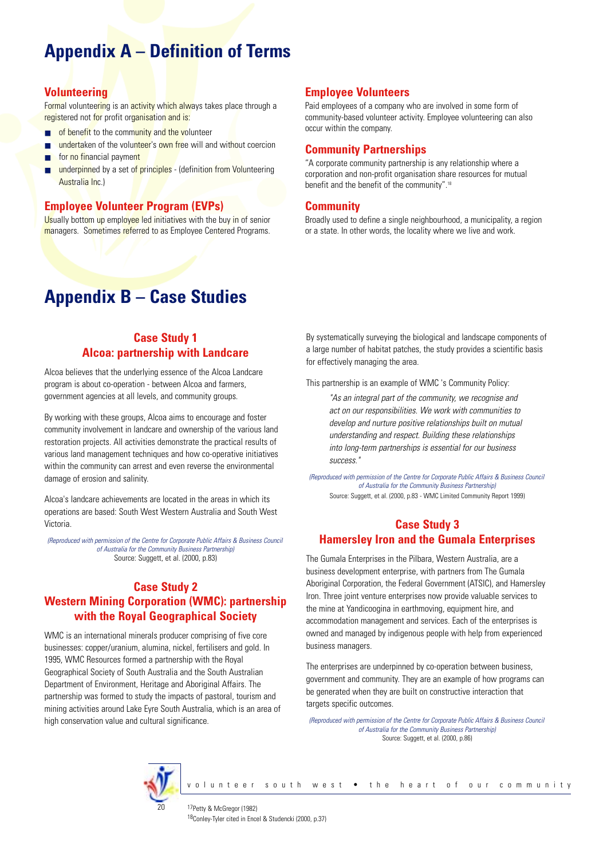## **Appendix A – Definition of Terms**

## **Volunteering**

Formal volunteering is an activity which always takes place through a registered not for profit organisation and is:

- of benefit to the community and the volunteer
- undertaken of the volunteer's own free will and without coercion
- for no financial payment
- underpinned by a set of principles (definition from Volunteering Australia Inc.)

## **Employee Volunteer Program (EVPs)**

Usually bottom up employee led initiatives with the buy in of senior managers. Sometimes referred to as Employee Centered Programs.

## **Appendix B – Case Studies**

## **Case Study 1 Alcoa: partnership with Landcare**

Alcoa believes that the underlying essence of the Alcoa Landcare program is about co-operation - between Alcoa and farmers, government agencies at all levels, and community groups.

By working with these groups, Alcoa aims to encourage and foster community involvement in landcare and ownership of the various land restoration projects. All activities demonstrate the practical results of various land management techniques and how co-operative initiatives within the community can arrest and even reverse the environmental damage of erosion and salinity.

Alcoa's landcare achievements are located in the areas in which its operations are based: South West Western Australia and South West Victoria.

*(Reproduced with permission of the Centre for Corporate Public Affairs & Business Council of Australia for the Community Business Partnership)* Source: Suggett, et al. (2000, p.83)

## **Case Study 2 Western Mining Corporation (WMC): partnership with the Royal Geographical Society**

WMC is an international minerals producer comprising of five core businesses: copper/uranium, alumina, nickel, fertilisers and gold. In 1995, WMC Resources formed a partnership with the Royal Geographical Society of South Australia and the South Australian Department of Environment, Heritage and Aboriginal Affairs. The partnership was formed to study the impacts of pastoral, tourism and mining activities around Lake Eyre South Australia, which is an area of high conservation value and cultural significance.

## **Employee Volunteers**

Paid employees of a company who are involved in some form of community-based volunteer activity. Employee volunteering can also occur within the company.

## **Community Partnerships**

"A corporate community partnership is any relationship where a corporation and non-profit organisation share resources for mutual benefit and the benefit of the community".18

## **Community**

Broadly used to define a single neighbourhood, a municipality, a region or a state. In other words, the locality where we live and work.

By systematically surveying the biological and landscape components of a large number of habitat patches, the study provides a scientific basis for effectively managing the area.

This partnership is an example of WMC 's Community Policy:

*"As an integral part of the community, we recognise and act on our responsibilities. We work with communities to develop and nurture positive relationships built on mutual understanding and respect. Building these relationships into long-term partnerships is essential for our business success."*

*(Reproduced with permission of the Centre for Corporate Public Affairs & Business Council of Australia for the Community Business Partnership)* Source: Suggett, et al. (2000, p.83 - WMC Limited Community Report 1999)

## **Case Study 3 Hamersley Iron and the Gumala Enterprises**

The Gumala Enterprises in the Pilbara, Western Australia, are a business development enterprise, with partners from The Gumala Aboriginal Corporation, the Federal Government (ATSIC), and Hamersley Iron. Three joint venture enterprises now provide valuable services to the mine at Yandicoogina in earthmoving, equipment hire, and accommodation management and services. Each of the enterprises is owned and managed by indigenous people with help from experienced business managers.

The enterprises are underpinned by co-operation between business, government and community. They are an example of how programs can be generated when they are built on constructive interaction that targets specific outcomes.

*(Reproduced with permission of the Centre for Corporate Public Affairs & Business Council of Australia for the Community Business Partnership)* Source: Suggett, et al. (2000, p.86)

volunteer south west • the heart of our community



17Petty & McGregor (1982) 18Conley-Tyler cited in Encel & Studencki (2000, p.37)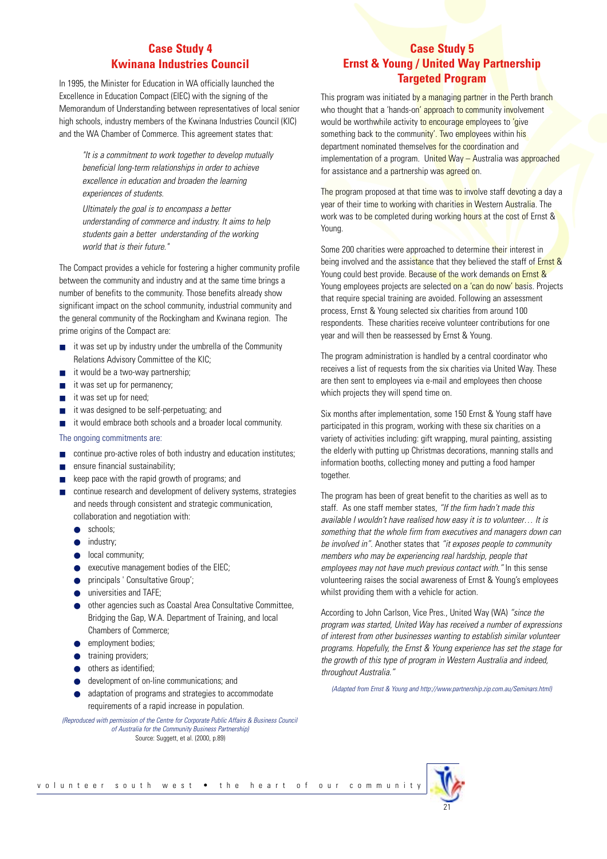## **Case Study 4 Kwinana Industries Council**

In 1995, the Minister for Education in WA officially launched the Excellence in Education Compact (EIEC) with the signing of the Memorandum of Understanding between representatives of local senior high schools, industry members of the Kwinana Industries Council (KIC) and the WA Chamber of Commerce. This agreement states that:

*"It is a commitment to work together to develop mutually beneficial long-term relationships in order to achieve excellence in education and broaden the learning experiences of students.*

*Ultimately the goal is to encompass a better understanding of commerce and industry. It aims to help students gain a better understanding of the working world that is their future."* 

The Compact provides a vehicle for fostering a higher community profile between the community and industry and at the same time brings a number of benefits to the community. Those benefits already show significant impact on the school community, industrial community and the general community of the Rockingham and Kwinana region. The prime origins of the Compact are:

- it was set up by industry under the umbrella of the Community Relations Advisory Committee of the KIC;
- it would be a two-way partnership;
- it was set up for permanency;
- it was set up for need;
- it was designed to be self-perpetuating; and
- it would embrace both schools and a broader local community.

The ongoing commitments are:

- continue pro-active roles of both industry and education institutes;
- ensure financial sustainability;
- keep pace with the rapid growth of programs; and
- continue research and development of delivery systems, strategies and needs through consistent and strategic communication, collaboration and negotiation with:
	- schools;
	- industry;
	- local community;
	- executive management bodies of the EIEC;
	- principals ' Consultative Group';
	- universities and TAFE;
	- other agencies such as Coastal Area Consultative Committee, Bridging the Gap, W.A. Department of Training, and local Chambers of Commerce;
	- employment bodies;
	- training providers:
	- others as identified:
	- development of on-line communications; and
	- adaptation of programs and strategies to accommodate requirements of a rapid increase in population.

*(Reproduced with permission of the Centre for Corporate Public Affairs & Business Council of Australia for the Community Business Partnership)* Source: Suggett, et al. (2000, p.89)

## **Case Study 5 Ernst & Young / United Way Partnership Targeted Program**

This program was initiated by a managing partner in the Perth branch who thought that a 'hands-on' approach to community involvement would be worthwhile activity to encourage employees to 'give something back to the community'. Two employees within his department nominated themselves for the coordination and implementation of a program. United Way - Australia was approached for assistance and a partnership was agreed on.

The program proposed at that time was to involve staff devoting a day a year of their time to working with charities in Western Australia. The work was to be completed during working hours at the cost of Ernst & Young.

Some 200 charities were approached to determine their interest in being involved and the assistance that they believed the staff of Ernst & Young could best provide. Because of the work demands on Ernst & Young employees projects are selected on a 'can do now' basis. Projects that require special training are avoided. Following an assessment process, Ernst & Young selected six charities from around 100 respondents. These charities receive volunteer contributions for one year and will then be reassessed by Ernst & Young.

The program administration is handled by a central coordinator who receives a list of requests from the six charities via United Way. These are then sent to employees via e-mail and employees then choose which projects they will spend time on.

Six months after implementation, some 150 Ernst & Young staff have participated in this program, working with these six charities on a variety of activities including: gift wrapping, mural painting, assisting the elderly with putting up Christmas decorations, manning stalls and information booths, collecting money and putting a food hamper together.

The program has been of great benefit to the charities as well as to staff. As one staff member states, *"If the firm hadn't made this available I wouldn't have realised how easy it is to volunteer… It is something that the whole firm from executives and managers down can be involved in"*. Another states that *"it exposes people to community members who may be experiencing real hardship, people that employees may not have much previous contact with."* In this sense volunteering raises the social awareness of Ernst & Young's employees whilst providing them with a vehicle for action.

According to John Carlson, Vice Pres., United Way (WA) *"since the program was started, United Way has received a number of expressions of interest from other businesses wanting to establish similar volunteer programs. Hopefully, the Ernst & Young experience has set the stage for the growth of this type of program in Western Australia and indeed, throughout Australia."*

*(Adapted from Ernst & Young and http://www.partnership.zip.com.au/Seminars.html)*

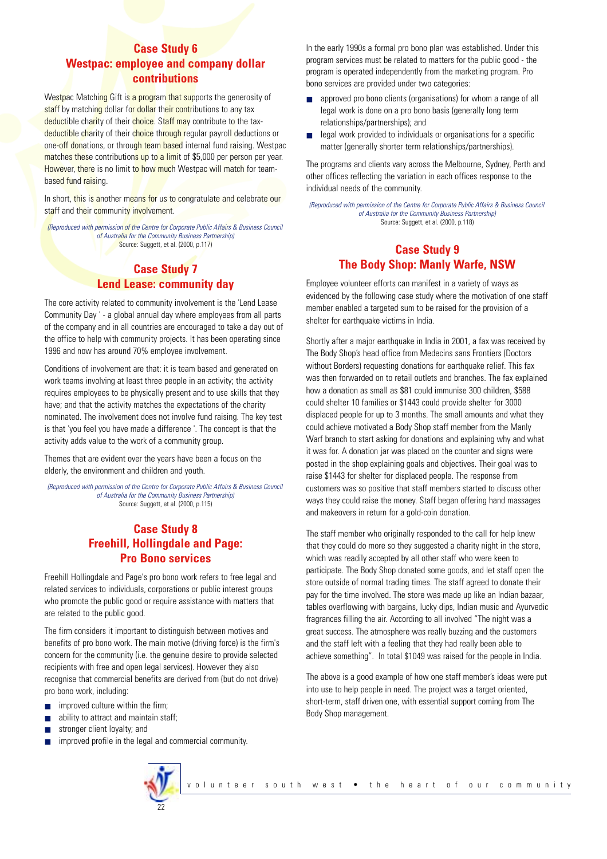## **Case Study 6 Westpac: employee and company dollar contributions**

Westpac Matching Gift is a program that supports the generosity of staff by matching dollar for dollar their contributions to any tax deductible charity of their choice. Staff may contribute to the taxdeductible charity of their choice through regular payroll deductions or one-off donations, or through team based internal fund raising. Westpac matches these contributions up to a limit of \$5,000 per person per year. However, there is no limit to how much Westpac will match for teambased fund raising.

In short, this is another means for us to congratulate and celebrate our staff and their community involvement.

*(Reproduced with permission of the Centre for Corporate Public Affairs & Business Council of Australia for the Community Business Partnership)* Source: Suggett, et al. (2000, p.117)

## **Case Study 7 Lend Lease: community day**

The core activity related to community involvement is the 'Lend Lease Community Day ' - a global annual day where employees from all parts of the company and in all countries are encouraged to take a day out of the office to help with community projects. It has been operating since 1996 and now has around 70% employee involvement.

Conditions of involvement are that: it is team based and generated on work teams involving at least three people in an activity; the activity requires employees to be physically present and to use skills that they have; and that the activity matches the expectations of the charity nominated. The involvement does not involve fund raising. The key test is that 'you feel you have made a difference '. The concept is that the activity adds value to the work of a community group.

Themes that are evident over the years have been a focus on the elderly, the environment and children and youth.

*(Reproduced with permission of the Centre for Corporate Public Affairs & Business Council of Australia for the Community Business Partnership)* Source: Suggett, et al. (2000, p.115)

## **Case Study 8 Freehill, Hollingdale and Page: Pro Bono services**

Freehill Hollingdale and Page's pro bono work refers to free legal and related services to individuals, corporations or public interest groups who promote the public good or require assistance with matters that are related to the public good.

The firm considers it important to distinguish between motives and benefits of pro bono work. The main motive (driving force) is the firm's concern for the community (i.e. the genuine desire to provide selected recipients with free and open legal services). However they also recognise that commercial benefits are derived from (but do not drive) pro bono work, including:

- improved culture within the firm;
- ability to attract and maintain staff;
- stronger client loyalty; and
- improved profile in the legal and commercial community.



In the early 1990s a formal pro bono plan was established. Under this program services must be related to matters for the public good - the program is operated independently from the marketing program. Pro bono services are provided under two categories:

- approved pro bono clients (organisations) for whom a range of all legal work is done on a pro bono basis (generally long term relationships/partnerships); and
- legal work provided to individuals or organisations for a specific matter (generally shorter term relationships/partnerships).

The programs and clients vary across the Melbourne, Sydney, Perth and other offices reflecting the variation in each offices response to the individual needs of the community.

*(Reproduced with permission of the Centre for Corporate Public Affairs & Business Council of Australia for the Community Business Partnership)* Source: Suggett, et al. (2000, p.118)

## **Case Study 9 The Body Shop: Manly Warfe, NSW**

Employee volunteer efforts can manifest in a variety of ways as evidenced by the following case study where the motivation of one staff member enabled a targeted sum to be raised for the provision of a shelter for earthquake victims in India.

Shortly after a major earthquake in India in 2001, a fax was received by The Body Shop's head office from Medecins sans Frontiers (Doctors without Borders) requesting donations for earthquake relief. This fax was then forwarded on to retail outlets and branches. The fax explained how a donation as small as \$81 could immunise 300 children, \$588 could shelter 10 families or \$1443 could provide shelter for 3000 displaced people for up to 3 months. The small amounts and what they could achieve motivated a Body Shop staff member from the Manly Warf branch to start asking for donations and explaining why and what it was for. A donation jar was placed on the counter and signs were posted in the shop explaining goals and objectives. Their goal was to raise \$1443 for shelter for displaced people. The response from customers was so positive that staff members started to discuss other ways they could raise the money. Staff began offering hand massages and makeovers in return for a gold-coin donation.

The staff member who originally responded to the call for help knew that they could do more so they suggested a charity night in the store, which was readily accepted by all other staff who were keen to participate. The Body Shop donated some goods, and let staff open the store outside of normal trading times. The staff agreed to donate their pay for the time involved. The store was made up like an Indian bazaar, tables overflowing with bargains, lucky dips, Indian music and Ayurvedic fragrances filling the air. According to all involved "The night was a great success. The atmosphere was really buzzing and the customers and the staff left with a feeling that they had really been able to achieve something". In total \$1049 was raised for the people in India.

The above is a good example of how one staff member's ideas were put into use to help people in need. The project was a target oriented, short-term, staff driven one, with essential support coming from The Body Shop management.

volunteer south west • the heart of our community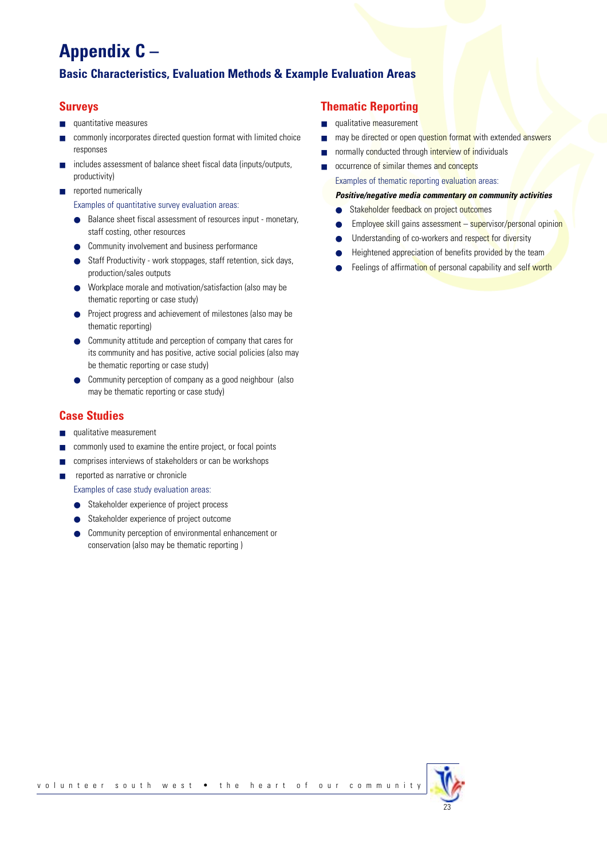## **Appendix C –**

## **Basic Characteristics, Evaluation Methods & Example Evaluation Areas**

## **Surveys**

- quantitative measures
- commonly incorporates directed question format with limited choice responses
- includes assessment of balance sheet fiscal data (inputs/outputs, productivity)
- reported numerically

Examples of quantitative survey evaluation areas:

- Balance sheet fiscal assessment of resources input monetary, staff costing, other resources
- Community involvement and business performance
- Staff Productivity work stoppages, staff retention, sick days, production/sales outputs
- Workplace morale and motivation/satisfaction (also may be thematic reporting or case study)
- Project progress and achievement of milestones (also may be thematic reporting)
- Community attitude and perception of company that cares for its community and has positive, active social policies (also may be thematic reporting or case study)
- Community perception of company as a good neighbour (also may be thematic reporting or case study)

## **Case Studies**

- qualitative measurement
- commonly used to examine the entire project, or focal points
- comprises interviews of stakeholders or can be workshops
- reported as narrative or chronicle

Examples of case study evaluation areas:

- Stakeholder experience of project process
- Stakeholder experience of project outcome
- Community perception of environmental enhancement or conservation (also may be thematic reporting )

## **Thematic Reporting**

- qualitative measurement
- may be directed or open question format with extended answers
- normally conducted through interview of individuals
- occurrence of similar themes and concepts Examples of thematic reporting evaluation areas:

#### *Positive/negative media commentary on community activities*

- Stakeholder feedback on project outcomes
- Employee skill gains assessment supervisor/personal opinion
- Understanding of co-workers and respect for diversity
- Heightened appreciation of benefits provided by the team
- Feelings of affirmation of personal capability and self worth

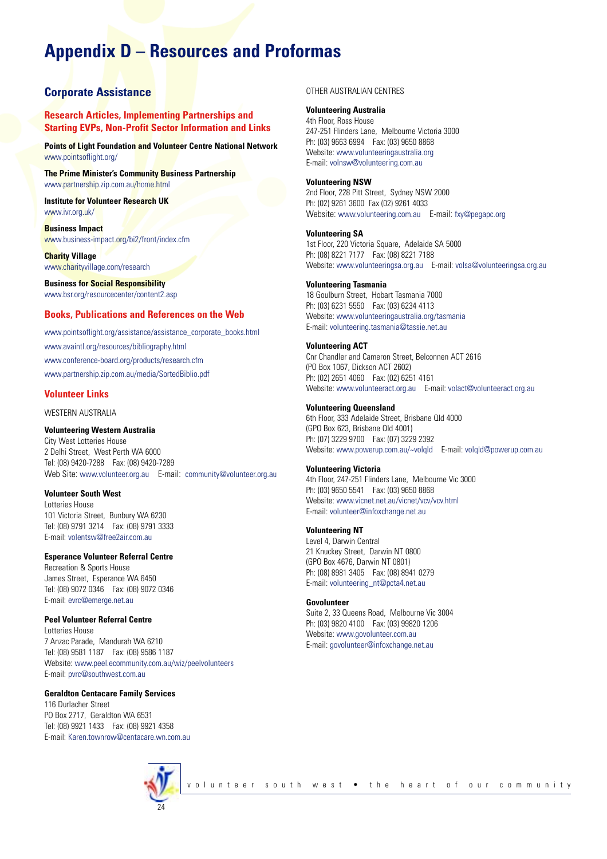## **Appendix D – Resources and Proformas**

### **Corporate Assistance**

**Research Articles, Implementing Partnerships and Starting EVPs, Non-Profit Sector Information and Links**

**Points of Light Foundation and Volunteer Centre National Network** www.pointsoflight.org/

**The Prime Minister's Community Business Partnership** www.partnership.zip.com.au/home.html

**Institute for Volunteer Research UK** www.ivr.org.uk/

**Business Impact** www.business-impact.org/bi2/front/index.cfm

**Charity Village** www.charityvillage.com/research

**Business for Social Responsibility** www.bsr.org/resourcecenter/content2.asp

#### **Books, Publications and References on the Web**

www.pointsoflight.org/assistance/assistance\_corporate\_books.html www.avaintl.org/resources/bibliography.html www.conference-board.org/products/research.cfm www.partnership.zip.com.au/media/SortedBiblio.pdf

#### **Volunteer Links**

WESTERN AUSTRALIA

#### **Volunteering Western Australia**

City West Lotteries House 2 Delhi Street, West Perth WA 6000 Tel: (08) 9420-7288 Fax: (08) 9420-7289 Web Site: www.volunteer.org.au E-mail: community@volunteer.org.au

#### **Volunteer South West**

Lotteries House 101 Victoria Street, Bunbury WA 6230 Tel: (08) 9791 3214 Fax: (08) 9791 3333 E-mail: volentsw@free2air.com.au

#### **Esperance Volunteer Referral Centre**

Recreation & Sports House James Street, Esperance WA 6450 Tel: (08) 9072 0346 Fax: (08) 9072 0346 E-mail: evrc@emerge.net.au

#### **Peel Volunteer Referral Centre**

Lotteries House 7 Anzac Parade, Mandurah WA 6210 Tel: (08) 9581 1187 Fax: (08) 9586 1187 Website: www.peel.ecommunity.com.au/wiz/peelvolunteers E-mail: pvrc@southwest.com.au

#### **Geraldton Centacare Family Services**

116 Durlacher Street PO Box 2717, Geraldton WA 6531 Tel: (08) 9921 1433 Fax: (08) 9921 4358 E-mail: Karen.townrow@centacare.wn.com.au



OTHER AUSTRALIAN CENTRES

#### **Volunteering Australia**

4th Floor, Ross House 247-251 Flinders Lane, Melbourne Victoria 3000 Ph: (03) 9663 6994 Fax: (03) 9650 8868 Website: www.volunteeringaustralia.org E-mail: volnsw@volunteering.com.au

#### **Volunteering NSW**

2nd Floor, 228 Pitt Street, Sydney NSW 2000 Ph: (02) 9261 3600 Fax (02) 9261 4033 Website: www.volunteering.com.au E-mail: fxy@pegapc.org

#### **Volunteering SA**

1st Floor, 220 Victoria Square, Adelaide SA 5000 Ph: (08) 8221 7177 Fax: (08) 8221 7188 Website: www.volunteeringsa.org.au E-mail: volsa@volunteeringsa.org.au

#### **Volunteering Tasmania**

18 Goulburn Street, Hobart Tasmania 7000 Ph: (03) 6231 5550 Fax: (03) 6234 4113 Website: www.volunteeringaustralia.org/tasmania E-mail: volunteering.tasmania@tassie.net.au

#### **Volunteering ACT**

Cnr Chandler and Cameron Street, Belconnen ACT 2616 (PO Box 1067, Dickson ACT 2602) Ph: (02) 2651 4060 Fax: (02) 6251 4161 Website: www.volunteeract.org.au E-mail: volact@volunteeract.org.au

#### **Volunteering Queensland**

6th Floor, 333 Adelaide Street, Brisbane Qld 4000 (GPO Box 623, Brisbane Qld 4001) Ph: (07) 3229 9700 Fax: (07) 3229 2392 Website: www.powerup.com.au/~volqld E-mail: volqld@powerup.com.au

#### **Volunteering Victoria**

4th Floor, 247-251 Flinders Lane, Melbourne Vic 3000 Ph: (03) 9650 5541 Fax: (03) 9650 8868 Website: www.vicnet.net.au/vicnet/vcv/vcv.html E-mail: volunteer@infoxchange.net.au

#### **Volunteering NT**

Level 4, Darwin Central 21 Knuckey Street, Darwin NT 0800 (GPO Box 4676, Darwin NT 0801) Ph: (08) 8981 3405 Fax: (08) 8941 0279 E-mail: volunteering\_nt@pcta4.net.au

#### **Govolunteer**

Suite 2, 33 Queens Road, Melbourne Vic 3004 Ph: (03) 9820 4100 Fax: (03) 99820 1206 Website: www.govolunteer.com.au E-mail: govolunteer@infoxchange.net.au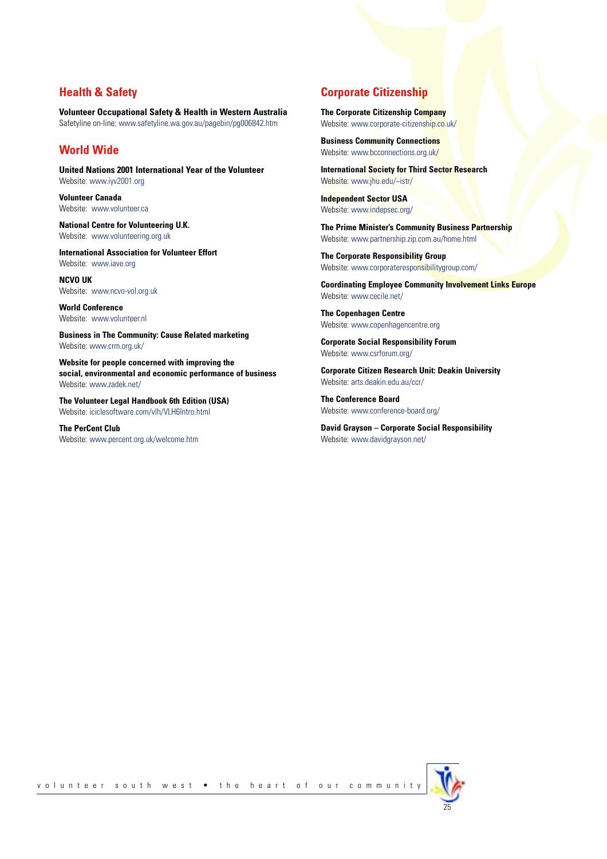### **Health & Safety**

**Volunteer Occupational Safety & Health in Western Australia** Safetyline on-line: www.safetyline.wa.gov.au/pagebin/pg006842.htm

## **World Wide**

**United Nations 2001 International Year of the Volunteer** Website: www.iyv2001.org

**Volunteer Canada** Website: www.volunteer.ca

**National Centre for Volunteering U.K.** Website: www.volunteering.org.uk

**International Association for Volunteer Effort** Website: www.iave.org

**NCVO UK** Website: www.ncvo-vol.org.uk

**World Conference** Website: www.volunteer.nl

**Business in The Community: Cause Related marketing** Website: www.crm.org.uk/

**Website for people concerned with improving the social, environmental and economic performance of business** Website: www.zadek.net/

**The Volunteer Legal Handbook 6th Edition (USA)** Website: iciclesoftware.com/vlh/VLH6Intro.html

**The PerCent Club** Website: www.percent.org.uk/welcome.htm

## **Corporate Citizenship**

**The Corporate Citizenship Company**  Website: www.corporate-citizenship.co.uk/

**Business Community Connections** Website: www.bcconnections.org.uk/

**International Society for Third Sector Research** Website: www.jhu.edu/~istr/

**Independent Sector USA** Website: www.indepsec.org/

**The Prime Minister's Community Business Partnership** Website: www.partnership.zip.com.au/home.html

**The Corporate Responsibility Group** Website: www.corporateresponsibilitygroup.com/

**Coordinating Employee Community Involvement Links Europe** Website: www.cecile.net/

**The Copenhagen Centre** Website: www.copenhagencentre.org

**Corporate Social Responsibility Forum** Website: www.csrforum.org/

**Corporate Citizen Research Unit: Deakin University** Website: arts.deakin.edu.au/ccr/

**The Conference Board** Website: www.conference-board.org/

**David Grayson – Corporate Social Responsibility** Website: www.davidgrayson.net/

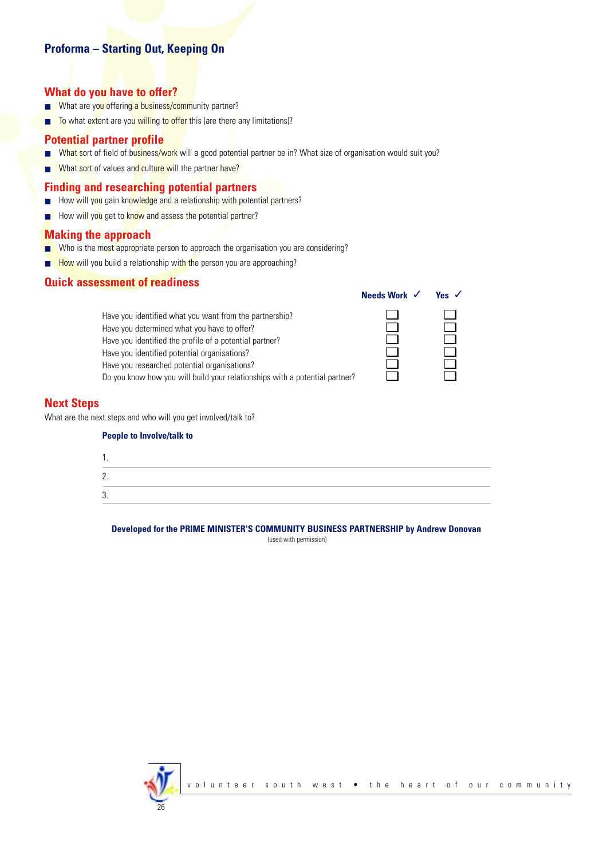## **Proforma – Starting Out, Keeping On**

## **What do you have to offer?**

- What are you offering a business/community partner?
- To what extent are you willing to offer this (are there any limitations)?

#### **Potential partner profile**

- What sort of field of business/work will a good potential partner be in? What size of organisation would suit you?
- What sort of values and culture will the partner have?

### **Finding and researching potential partners**

- How will you gain knowledge and a relationship with potential partners?
- How will you get to know and assess the potential partner?

#### **Making the approach**

- Who is the most appropriate person to approach the organisation you are considering?
- How will you build a relationship with the person you are approaching?

### **Quick assessment of readiness**

|                                                                             | Needs Work $\checkmark$ | Yes $\sqrt$ |
|-----------------------------------------------------------------------------|-------------------------|-------------|
| Have you identified what you want from the partnership?                     |                         |             |
| Have you determined what you have to offer?                                 |                         |             |
| Have you identified the profile of a potential partner?                     |                         |             |
| Have you identified potential organisations?                                |                         |             |
| Have you researched potential organisations?                                |                         |             |
| Do you know how you will build your relationships with a potential partner? |                         |             |

### **Next Steps**

What are the next steps and who will you get involved/talk to?

| <b>People to Involve/talk to</b> |  |  |
|----------------------------------|--|--|
| . .                              |  |  |
| 2.                               |  |  |
| 3.                               |  |  |

**Developed for the PRIME MINISTER'S COMMUNITY BUSINESS PARTNERSHIP by Andrew Donovan**

(used with permission)

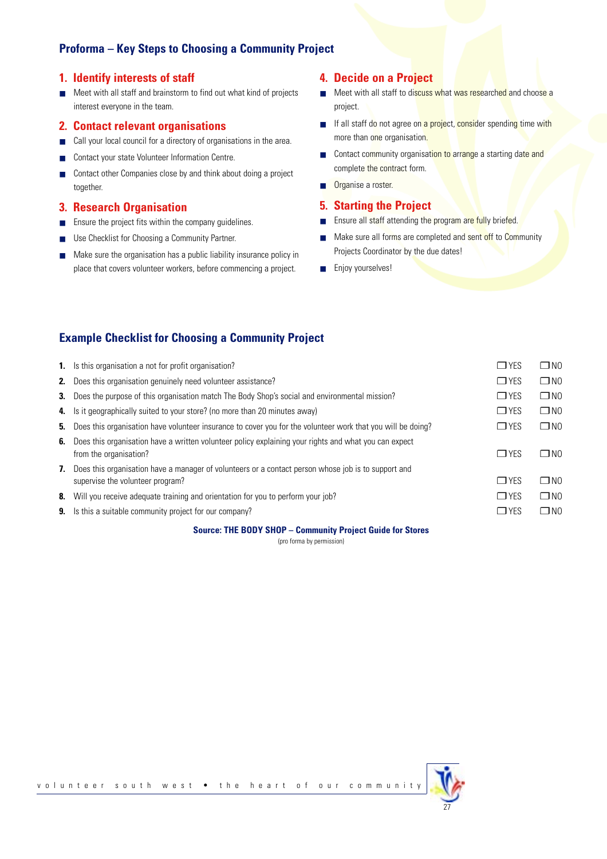## **Proforma – Key Steps to Choosing a Community Project**

### **1. Identify interests of staff**

■ Meet with all staff and brainstorm to find out what kind of projects interest everyone in the team.

#### **2. Contact relevant organisations**

- Call your local council for a directory of organisations in the area.
- Contact your state Volunteer Information Centre.
- Contact other Companies close by and think about doing a project together.

## **3. Research Organisation**

- Ensure the project fits within the company guidelines.
- Use Checklist for Choosing a Community Partner.
- Make sure the organisation has a public liability insurance policy in place that covers volunteer workers, before commencing a project.

### **4. Decide on a Project**

- Meet with all staff to discuss what was researched and choose a project.
- If all staff do not agree on a project, consider spending time with more than one organisation.
- Contact community organisation to arrange a starting date and complete the contract form.
- Organise a roster.

#### **5. Starting the Project**

- Ensure all staff attending the program are fully briefed.
- Make sure all forms are completed and sent off to Community Projects Coordinator by the due dates!

27

■ Enjoy yourselves!

## **Example Checklist for Choosing a Community Project**

|    | <b>1.</b> Is this organisation a not for profit organisation?                                                                              | $\Box$ YES | $\Box$ NO    |
|----|--------------------------------------------------------------------------------------------------------------------------------------------|------------|--------------|
|    | <b>2.</b> Does this organisation genuinely need volunteer assistance?                                                                      | $\Box$ YES | $\square$ NO |
|    | <b>3.</b> Does the purpose of this organisation match The Body Shop's social and environmental mission?                                    | $\Box$ YES | $\Box$ NO    |
|    | 4. Is it geographically suited to your store? (no more than 20 minutes away)                                                               | $\Box$ YES | $\square$ NO |
|    | 5. Does this organisation have volunteer insurance to cover you for the volunteer work that you will be doing?                             | $\Box$ YES | $\square$ NO |
|    | 6. Does this organisation have a written volunteer policy explaining your rights and what you can expect<br>from the organisation?         | $\Box$ YES | $\Box$ NO    |
|    | 7. Does this organisation have a manager of volunteers or a contact person whose job is to support and<br>supervise the volunteer program? | $\Box$ YES | $\Box$ NO    |
| 8. | Will you receive adequate training and orientation for you to perform your job?                                                            | $\Box$ YES | $\square$ NO |
|    | <b>9.</b> Is this a suitable community project for our company?                                                                            | $\Box$ YES | $\square$ NO |
|    |                                                                                                                                            |            |              |

#### **Source: THE BODY SHOP – Community Project Guide for Stores**

(pro forma by permission)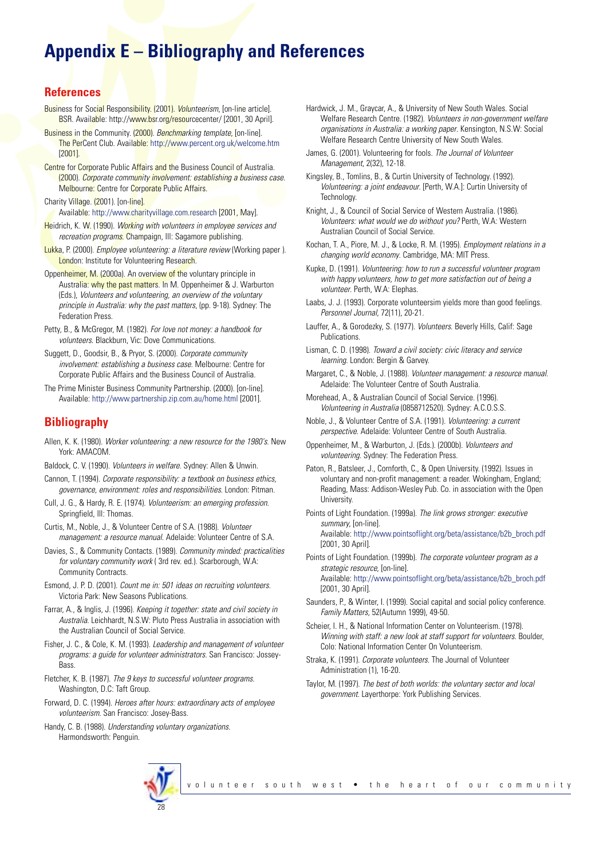## **Appendix E – Bibliography and References**

### **References**

- Business for Social Responsibility. (2001). *Volunteerism*, [on-line article]. BSR. Available: http://www.bsr.org/resourcecenter/ [2001, 30 April].
- Business in the Community. (2000). *Benchmarking template*, [on-line]. The PerCent Club. Available: http://www.percent.org.uk/welcome.htm [2001].
- Centre for Corporate Public Affairs and the Business Council of Australia. (2000). *Corporate community involvement: establishing a business case.* Melbourne: Centre for Corporate Public Affairs.

Charity Village. (2001). [on-line].

Available: http://www.charityvillage.com.research [2001, May].

- Heidrich, K. W. (1990). *Working with volunteers in employee services and recreation programs*. Champaign, Ill: Sagamore publishing.
- Lukka, P. (2000). *Employee volunteering: a literature review* (Working paper ). London: Institute for Volunteering Research.
- Oppenheimer, M. (2000a). An overview of the voluntary principle in Australia: why the past matters. In M. Oppenheimer & J. Warburton (Eds.), *Volunteers and volunteering, an overview of the voluntary principle in Australia: why the past matters*, (pp. 9-18). Sydney: The Federation Press.
- Petty, B., & McGregor, M. (1982). *For love not money: a handbook for volunteers*. Blackburn, Vic: Dove Communications.
- Suggett, D., Goodsir, B., & Pryor, S. (2000). *Corporate community involvement: establishing a business case*. Melbourne: Centre for Corporate Public Affairs and the Business Council of Australia.
- The Prime Minister Business Community Partnership. (2000). [on-line]. Available: http://www.partnership.zip.com.au/home.html [2001].

## **Bibliography**

- Allen, K. K. (1980). *Worker volunteering: a new resource for the 1980's*. New York: AMACOM.
- Baldock, C. V. (1990). *Volunteers in welfare*. Sydney: Allen & Unwin.
- Cannon, T. (1994). *Corporate responsibility: a textbook on business ethics, governance, environment: roles and responsibilities*. London: Pitman.
- Cull, J. G., & Hardy, R. E. (1974). *Volunteerism: an emerging profession*. Springfield, Ill: Thomas.
- Curtis, M., Noble, J., & Volunteer Centre of S.A. (1988). *Volunteer management: a resource manual*. Adelaide: Volunteer Centre of S.A.
- Davies, S., & Community Contacts. (1989). *Community minded: practicalities for voluntary community work* ( 3rd rev. ed.). Scarborough, W.A: Community Contracts.
- Esmond, J. P. D. (2001). *Count me in: 501 ideas on recruiting volunteers*. Victoria Park: New Seasons Publications.
- Farrar, A., & Inglis, J. (1996). *Keeping it together: state and civil society in Australia*. Leichhardt, N.S.W: Pluto Press Australia in association with the Australian Council of Social Service.
- Fisher, J. C., & Cole, K. M. (1993). *Leadership and management of volunteer programs: a guide for volunteer administrators*. San Francisco: Jossey-Bass.
- Fletcher, K. B. (1987). *The 9 keys to successful volunteer programs*. Washington, D.C: Taft Group.
- Forward, D. C. (1994). *Heroes after hours: extraordinary acts of employee volunteerism*. San Francisco: Josey-Bass.
- Handy, C. B. (1988). *Understanding voluntary organizations*. Harmondsworth: Penguin.
- Hardwick, J. M., Graycar, A., & University of New South Wales. Social Welfare Research Centre. (1982). *Volunteers in non-government welfare organisations in Australia: a working paper*. Kensington, N.S.W: Social Welfare Research Centre University of New South Wales.
- James, G. (2001). Volunteering for fools. *The Journal of Volunteer Management*, 2(32), 12-18.
- Kingsley, B., Tomlins, B., & Curtin University of Technology. (1992). *Volunteering: a joint endeavour*. [Perth, W.A.]: Curtin University of **Technology**
- Knight, J., & Council of Social Service of Western Australia. (1986). *Volunteers: what would we do without you?* Perth, W.A: Western Australian Council of Social Service.
- Kochan, T. A., Piore, M. J., & Locke, R. M. (1995). *Employment relations in a changing world economy*. Cambridge, MA: MIT Press.
- Kupke, D. (1991). *Volunteering: how to run a successful volunteer program with happy volunteers, how to get more satisfaction out of being a volunteer*. Perth, W.A: Elephas.
- Laabs, J. J. (1993). Corporate volunteersim yields more than good feelings. *Personnel Journal*, 72(11), 20-21.
- Lauffer, A., & Gorodezky, S. (1977). *Volunteers*. Beverly Hills, Calif: Sage Publications.
- Lisman, C. D. (1998). *Toward a civil society: civic literacy and service learning*. London: Bergin & Garvey.
- Margaret, C., & Noble, J. (1988). *Volunteer management: a resource manual*. Adelaide: The Volunteer Centre of South Australia.
- Morehead, A., & Australian Council of Social Service. (1996). *Volunteering in Australia* (0858712520). Sydney: A.C.O.S.S.
- Noble, J., & Volunteer Centre of S.A. (1991). *Volunteering: a current perspective*. Adelaide: Volunteer Centre of South Australia.
- Oppenheimer, M., & Warburton, J. (Eds.). (2000b). *Volunteers and volunteering*. Sydney: The Federation Press.
- Paton, R., Batsleer, J., Cornforth, C., & Open University. (1992). Issues in voluntary and non-profit management: a reader. Wokingham, England; Reading, Mass: Addison-Wesley Pub. Co. in association with the Open **University**
- Points of Light Foundation. (1999a). *The link grows stronger: executive summary*, [on-line]. Available: http://www.pointsoflight.org/beta/assistance/b2b\_broch.pdf [2001, 30 April].

Points of Light Foundation. (1999b). *The corporate volunteer program as a strategic resource*, [on-line]. Available: http://www.pointsoflight.org/beta/assistance/b2b\_broch.pdf [2001, 30 April].

- Saunders, P., & Winter, I. (1999). Social capital and social policy conference. *Family Matters*, 52(Autumn 1999), 49-50.
- Scheier, I. H., & National Information Center on Volunteerism. (1978). *Winning with staff: a new look at staff support for volunteers*. Boulder, Colo: National Information Center On Volunteerism.
- Straka, K. (1991). *Corporate volunteers*. The Journal of Volunteer Administration (1), 16-20.
- Taylor, M. (1997). *The best of both worlds: the voluntary sector and local government*. Layerthorpe: York Publishing Services.

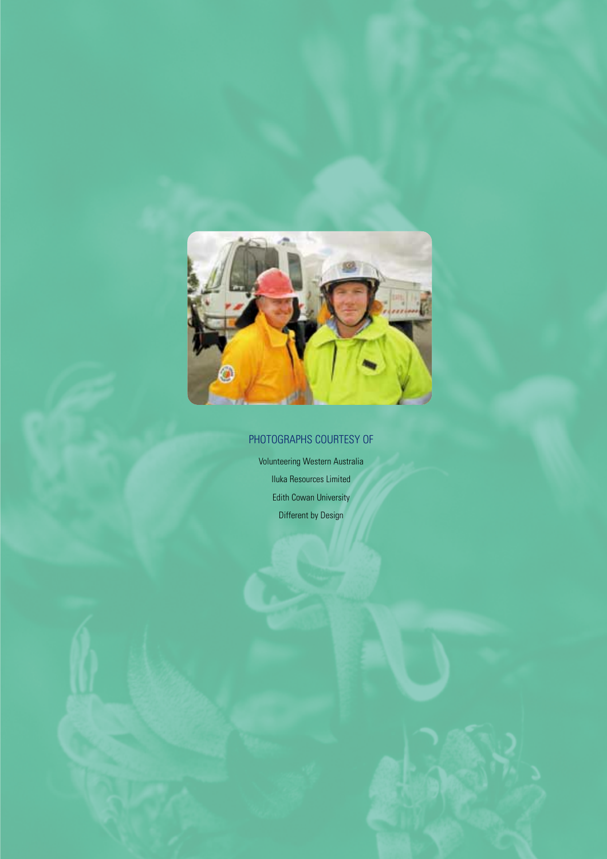

## PHOTOGRAPHS COURTESY OF

Volunteering Western Australia Iluka Resources Limited Edith Cowan University Different by Design